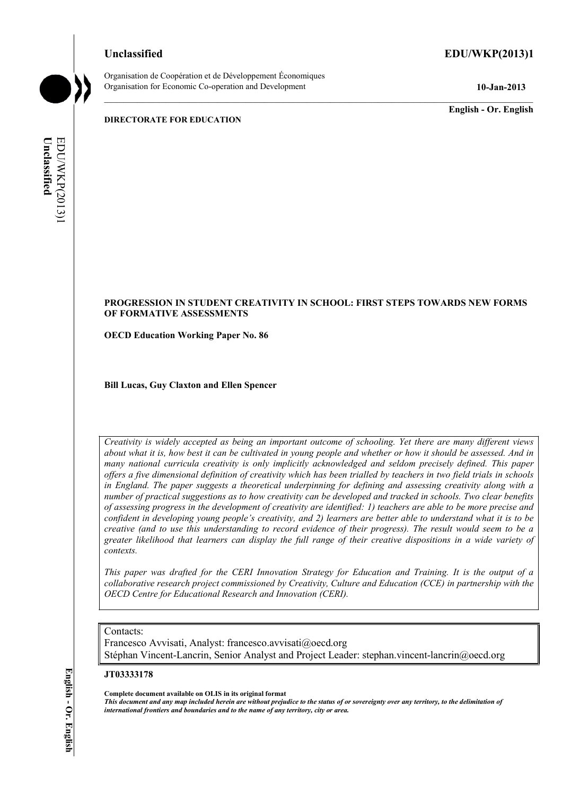# **Unclassified EDU/WKP(2013)1**

Organisation de Coopération et de Développement Économiques Organisation for Economic Co-operation and Development **10-Jan-2013** 

**English - Or. English** 

**DIRECTORATE FOR EDUCATION** 

**Unclassified**  EDU/WKP(2013)1 EDU/WKP(2013) Unclassified

# **PROGRESSION IN STUDENT CREATIVITY IN SCHOOL: FIRST STEPS TOWARDS NEW FORMS OF FORMATIVE ASSESSMENTS**

**OECD Education Working Paper No. 86** 

**Bill Lucas, Guy Claxton and Ellen Spencer** 

*Creativity is widely accepted as being an important outcome of schooling. Yet there are many different views about what it is, how best it can be cultivated in young people and whether or how it should be assessed. And in many national curricula creativity is only implicitly acknowledged and seldom precisely defined. This paper offers a five dimensional definition of creativity which has been trialled by teachers in two field trials in schools in England. The paper suggests a theoretical underpinning for defining and assessing creativity along with a number of practical suggestions as to how creativity can be developed and tracked in schools. Two clear benefits of assessing progress in the development of creativity are identified: 1) teachers are able to be more precise and confident in developing young people's creativity, and 2) learners are better able to understand what it is to be creative (and to use this understanding to record evidence of their progress). The result would seem to be a greater likelihood that learners can display the full range of their creative dispositions in a wide variety of contexts.* 

*This paper was drafted for the CERI Innovation Strategy for Education and Training. It is the output of a collaborative research project commissioned by Creativity, Culture and Education (CCE) in partnership with the OECD Centre for Educational Research and Innovation (CERI).* 

# Contacts:

Francesco Avvisati, Analyst: francesco.avvisati@oecd.org Stéphan Vincent-Lancrin, Senior Analyst and Project Leader: stephan.vincent-lancrin@oecd.org

#### **JT03333178**

**Complete document available on OLIS in its original format**

*This document and any map included herein are without prejudice to the status of or sovereignty over any territory, to the delimitation of international frontiers and boundaries and to the name of any territory, city or area.*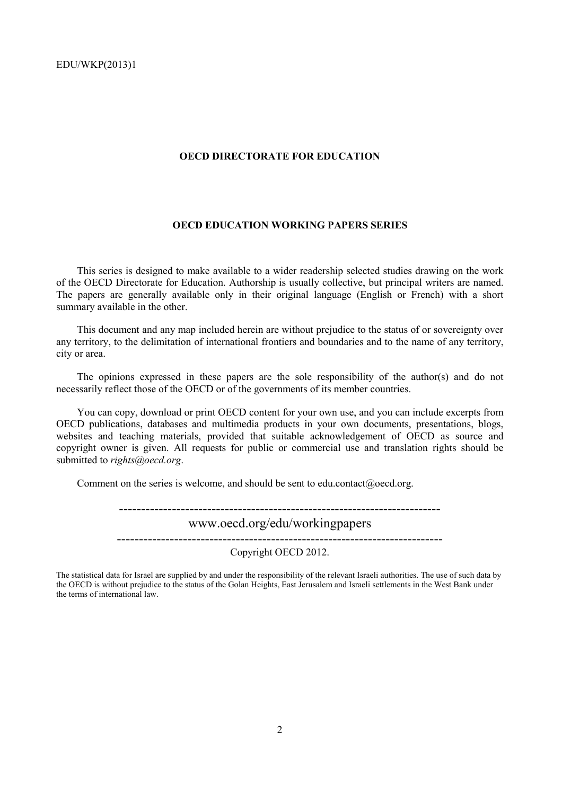#### **OECD DIRECTORATE FOR EDUCATION**

# **OECD EDUCATION WORKING PAPERS SERIES**

This series is designed to make available to a wider readership selected studies drawing on the work of the OECD Directorate for Education. Authorship is usually collective, but principal writers are named. The papers are generally available only in their original language (English or French) with a short summary available in the other.

This document and any map included herein are without prejudice to the status of or sovereignty over any territory, to the delimitation of international frontiers and boundaries and to the name of any territory, city or area.

The opinions expressed in these papers are the sole responsibility of the author(s) and do not necessarily reflect those of the OECD or of the governments of its member countries.

You can copy, download or print OECD content for your own use, and you can include excerpts from OECD publications, databases and multimedia products in your own documents, presentations, blogs, websites and teaching materials, provided that suitable acknowledgement of OECD as source and copyright owner is given. All requests for public or commercial use and translation rights should be submitted to *rights@oecd.org*.

Comment on the series is welcome, and should be sent to edu.contact@oecd.org.

-------------------------------------------------------------------------

# www.oecd.org/edu/workingpapers

-------------------------------------------------------------------------- Copyright OECD 2012.

The statistical data for Israel are supplied by and under the responsibility of the relevant Israeli authorities. The use of such data by the OECD is without prejudice to the status of the Golan Heights, East Jerusalem and Israeli settlements in the West Bank under the terms of international law.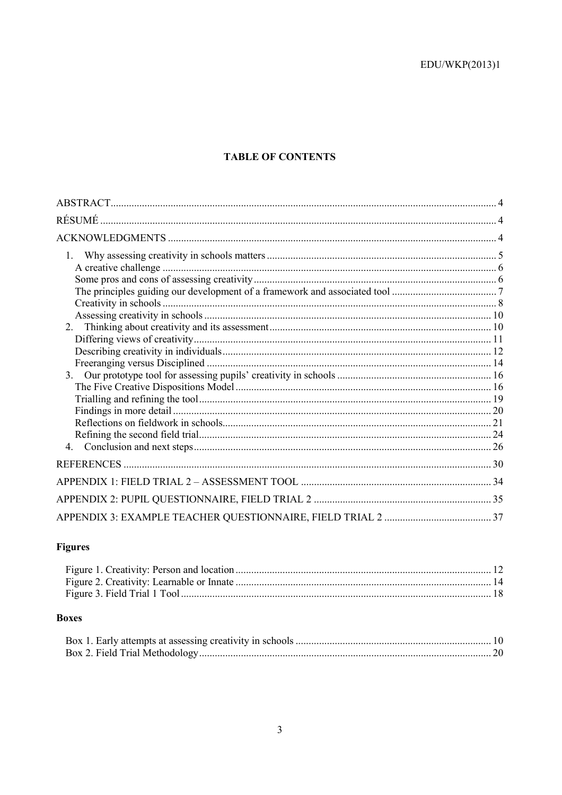# **TABLE OF CONTENTS**

| RÉSUMÉ  |  |
|---------|--|
|         |  |
| $1_{-}$ |  |
|         |  |
|         |  |
|         |  |
|         |  |
|         |  |
|         |  |
|         |  |
|         |  |
|         |  |
|         |  |
|         |  |
|         |  |
|         |  |
|         |  |
|         |  |
|         |  |
|         |  |
|         |  |
|         |  |
|         |  |
|         |  |

# Figures

# **Boxes**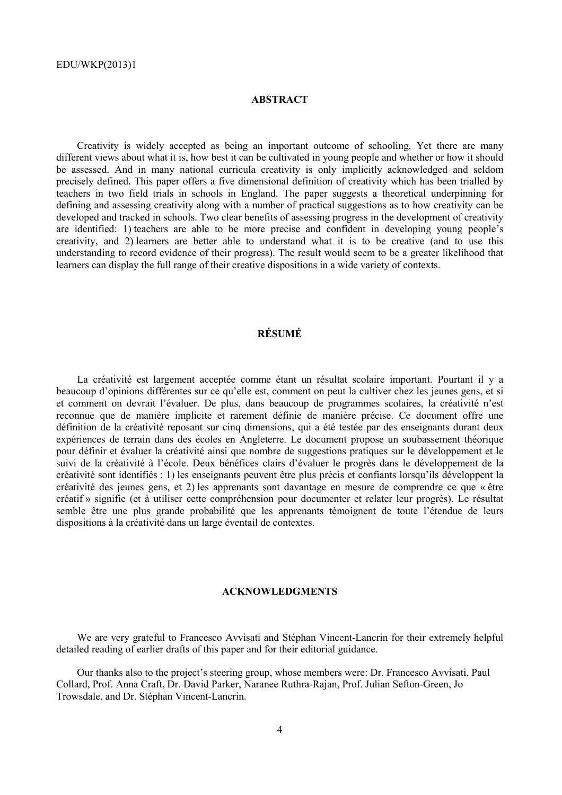# **ABSTRACT**

Creativity is widely accepted as being an important outcome of schooling. Yet there are many different views about what it is, how best it can be cultivated in young people and whether or how it should be assessed. And in many national curricula creativity is only implicitly acknowledged and seldom precisely defined. This paper offers a five dimensional definition of creativity which has been trialled by teachers in two field trials in schools in England. The paper suggests a theoretical underpinning for defining and assessing creativity along with a number of practical suggestions as to how creativity can be developed and tracked in schools. Two clear benefits of assessing progress in the development of creativity are identified: 1) teachers are able to be more precise and confident in developing young people's creativity, and 2) learners are better able to understand what it is to be creative (and to use this understanding to record evidence of their progress). The result would seem to be a greater likelihood that learners can display the full range of their creative dispositions in a wide variety of contexts.

# **RÉSUMÉ**

La créativité est largement acceptée comme étant un résultat scolaire important. Pourtant il y a beaucoup d'opinions différentes sur ce qu'elle est, comment on peut la cultiver chez les jeunes gens, et si et comment on devrait l'évaluer. De plus, dans beaucoup de programmes scolaires, la créativité n'est reconnue que de manière implicite et rarement définie de manière précise. Ce document offre une définition de la créativité reposant sur cinq dimensions, qui a été testée par des enseignants durant deux expériences de terrain dans des écoles en Angleterre. Le document propose un soubassement théorique pour définir et évaluer la créativité ainsi que nombre de suggestions pratiques sur le développement et le suivi de la créativité à l'école. Deux bénéfices clairs d'évaluer le progrès dans le développement de la créativité sont identifiés : 1) les enseignants peuvent être plus précis et confiants lorsqu'ils développent la créativité des jeunes gens, et 2) les apprenants sont davantage en mesure de comprendre ce que « être créatif » signifie (et à utiliser cette compréhension pour documenter et relater leur progrès). Le résultat semble être une plus grande probabilité que les apprenants témoignent de toute l'étendue de leurs dispositions à la créativité dans un large éventail de contextes.

#### **ACKNOWLEDGMENTS**

We are very grateful to Francesco Avvisati and Stéphan Vincent-Lancrin for their extremely helpful detailed reading of earlier drafts of this paper and for their editorial guidance.

Our thanks also to the project's steering group, whose members were: Dr. Francesco Avvisati, Paul Collard, Prof. Anna Craft, Dr. David Parker, Naranee Ruthra-Rajan, Prof. Julian Sefton-Green, Jo Trowsdale, and Dr. Stéphan Vincent-Lancrin.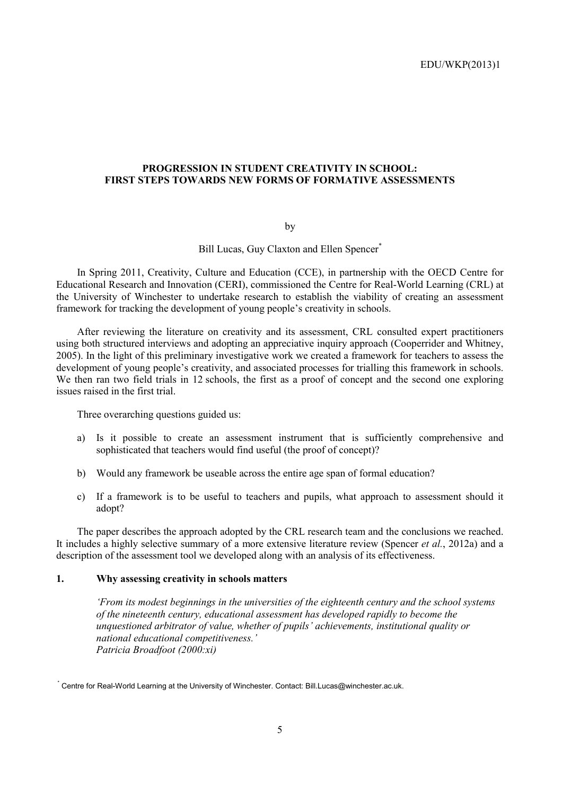# **PROGRESSION IN STUDENT CREATIVITY IN SCHOOL: FIRST STEPS TOWARDS NEW FORMS OF FORMATIVE ASSESSMENTS**

by

Bill Lucas, Guy Claxton and Ellen Spencer<sup>\*</sup>

In Spring 2011, Creativity, Culture and Education (CCE), in partnership with the OECD Centre for Educational Research and Innovation (CERI), commissioned the Centre for Real-World Learning (CRL) at the University of Winchester to undertake research to establish the viability of creating an assessment framework for tracking the development of young people's creativity in schools.

After reviewing the literature on creativity and its assessment, CRL consulted expert practitioners using both structured interviews and adopting an appreciative inquiry approach (Cooperrider and Whitney, 2005). In the light of this preliminary investigative work we created a framework for teachers to assess the development of young people's creativity, and associated processes for trialling this framework in schools. We then ran two field trials in 12 schools, the first as a proof of concept and the second one exploring issues raised in the first trial.

Three overarching questions guided us:

- a) Is it possible to create an assessment instrument that is sufficiently comprehensive and sophisticated that teachers would find useful (the proof of concept)?
- b) Would any framework be useable across the entire age span of formal education?
- c) If a framework is to be useful to teachers and pupils, what approach to assessment should it adopt?

The paper describes the approach adopted by the CRL research team and the conclusions we reached. It includes a highly selective summary of a more extensive literature review (Spencer *et al.*, 2012a) and a description of the assessment tool we developed along with an analysis of its effectiveness.

#### **1. Why assessing creativity in schools matters**

*'From its modest beginnings in the universities of the eighteenth century and the school systems of the nineteenth century, educational assessment has developed rapidly to become the unquestioned arbitrator of value, whether of pupils' achievements, institutional quality or national educational competitiveness.' Patricia Broadfoot (2000:xi)* 

 <sup>\*</sup> Centre for Real-World Learning at the University of Winchester. Contact: Bill.Lucas@winchester.ac.uk.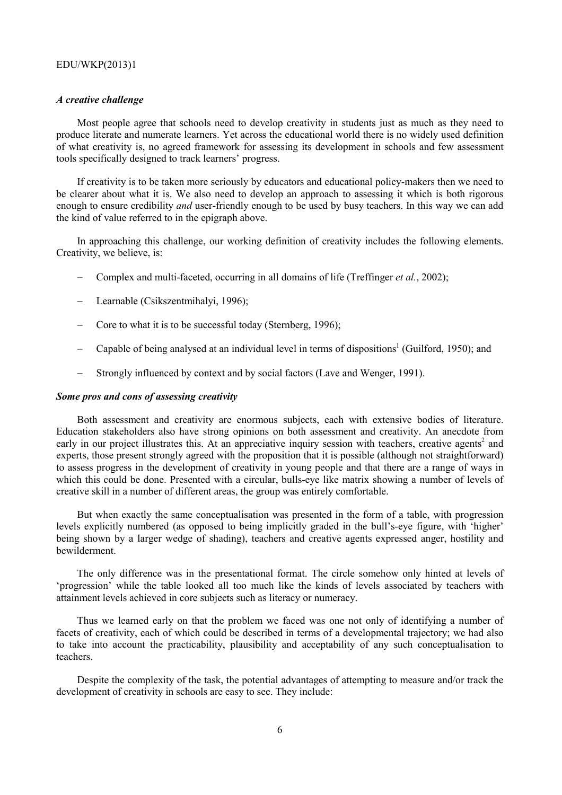#### *A creative challenge*

Most people agree that schools need to develop creativity in students just as much as they need to produce literate and numerate learners. Yet across the educational world there is no widely used definition of what creativity is, no agreed framework for assessing its development in schools and few assessment tools specifically designed to track learners' progress.

If creativity is to be taken more seriously by educators and educational policy-makers then we need to be clearer about what it is. We also need to develop an approach to assessing it which is both rigorous enough to ensure credibility *and* user-friendly enough to be used by busy teachers. In this way we can add the kind of value referred to in the epigraph above.

In approaching this challenge, our working definition of creativity includes the following elements. Creativity, we believe, is:

- − Complex and multi-faceted, occurring in all domains of life (Treffinger *et al.*, 2002);
- − Learnable (Csikszentmihalyi, 1996);
- − Core to what it is to be successful today (Sternberg, 1996);
- − Capable of being analysed at an individual level in terms of dispositions<sup>1</sup> (Guilford, 1950); and
- − Strongly influenced by context and by social factors (Lave and Wenger, 1991).

#### *Some pros and cons of assessing creativity*

Both assessment and creativity are enormous subjects, each with extensive bodies of literature. Education stakeholders also have strong opinions on both assessment and creativity. An anecdote from early in our project illustrates this. At an appreciative inquiry session with teachers, creative agents<sup>2</sup> and experts, those present strongly agreed with the proposition that it is possible (although not straightforward) to assess progress in the development of creativity in young people and that there are a range of ways in which this could be done. Presented with a circular, bulls-eye like matrix showing a number of levels of creative skill in a number of different areas, the group was entirely comfortable.

But when exactly the same conceptualisation was presented in the form of a table, with progression levels explicitly numbered (as opposed to being implicitly graded in the bull's-eye figure, with 'higher' being shown by a larger wedge of shading), teachers and creative agents expressed anger, hostility and bewilderment.

The only difference was in the presentational format. The circle somehow only hinted at levels of 'progression' while the table looked all too much like the kinds of levels associated by teachers with attainment levels achieved in core subjects such as literacy or numeracy.

Thus we learned early on that the problem we faced was one not only of identifying a number of facets of creativity, each of which could be described in terms of a developmental trajectory; we had also to take into account the practicability, plausibility and acceptability of any such conceptualisation to teachers.

Despite the complexity of the task, the potential advantages of attempting to measure and/or track the development of creativity in schools are easy to see. They include: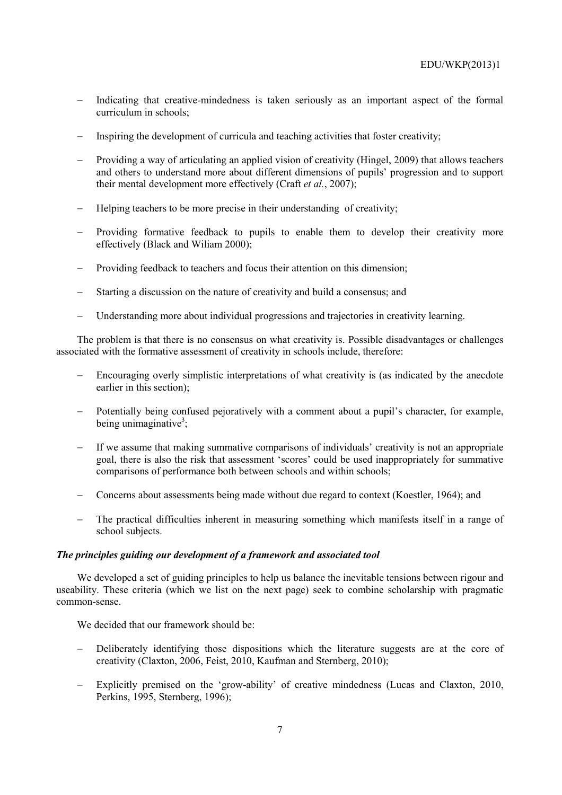- Indicating that creative-mindedness is taken seriously as an important aspect of the formal curriculum in schools;
- Inspiring the development of curricula and teaching activities that foster creativity;
- Providing a way of articulating an applied vision of creativity (Hingel, 2009) that allows teachers and others to understand more about different dimensions of pupils' progression and to support their mental development more effectively (Craft *et al.*, 2007);
- − Helping teachers to be more precise in their understanding of creativity;
- Providing formative feedback to pupils to enable them to develop their creativity more effectively (Black and Wiliam 2000);
- Providing feedback to teachers and focus their attention on this dimension;
- Starting a discussion on the nature of creativity and build a consensus; and
- − Understanding more about individual progressions and trajectories in creativity learning.

The problem is that there is no consensus on what creativity is. Possible disadvantages or challenges associated with the formative assessment of creativity in schools include, therefore:

- Encouraging overly simplistic interpretations of what creativity is (as indicated by the anecdote earlier in this section);
- − Potentially being confused pejoratively with a comment about a pupil's character, for example, being unimaginative<sup>3</sup>;
- If we assume that making summative comparisons of individuals' creativity is not an appropriate goal, there is also the risk that assessment 'scores' could be used inappropriately for summative comparisons of performance both between schools and within schools;
- − Concerns about assessments being made without due regard to context (Koestler, 1964); and
- The practical difficulties inherent in measuring something which manifests itself in a range of school subjects.

# *The principles guiding our development of a framework and associated tool*

We developed a set of guiding principles to help us balance the inevitable tensions between rigour and useability. These criteria (which we list on the next page) seek to combine scholarship with pragmatic common-sense.

We decided that our framework should be:

- − Deliberately identifying those dispositions which the literature suggests are at the core of creativity (Claxton, 2006, Feist, 2010, Kaufman and Sternberg, 2010);
- Explicitly premised on the 'grow-ability' of creative mindedness (Lucas and Claxton, 2010, Perkins, 1995, Sternberg, 1996);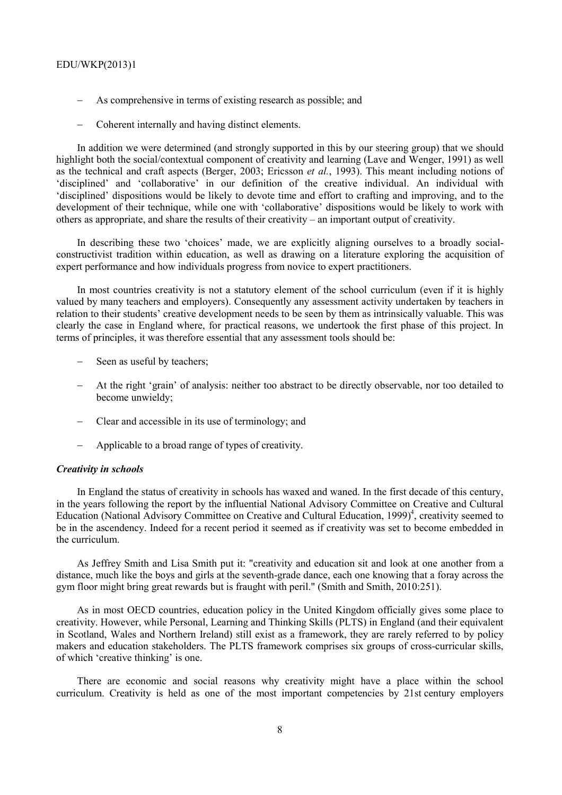- As comprehensive in terms of existing research as possible; and
- Coherent internally and having distinct elements.

In addition we were determined (and strongly supported in this by our steering group) that we should highlight both the social/contextual component of creativity and learning (Lave and Wenger, 1991) as well as the technical and craft aspects (Berger, 2003; Ericsson *et al.*, 1993). This meant including notions of 'disciplined' and 'collaborative' in our definition of the creative individual. An individual with 'disciplined' dispositions would be likely to devote time and effort to crafting and improving, and to the development of their technique, while one with 'collaborative' dispositions would be likely to work with others as appropriate, and share the results of their creativity – an important output of creativity.

In describing these two 'choices' made, we are explicitly aligning ourselves to a broadly socialconstructivist tradition within education, as well as drawing on a literature exploring the acquisition of expert performance and how individuals progress from novice to expert practitioners.

In most countries creativity is not a statutory element of the school curriculum (even if it is highly valued by many teachers and employers). Consequently any assessment activity undertaken by teachers in relation to their students' creative development needs to be seen by them as intrinsically valuable. This was clearly the case in England where, for practical reasons, we undertook the first phase of this project. In terms of principles, it was therefore essential that any assessment tools should be:

- Seen as useful by teachers:
- At the right 'grain' of analysis: neither too abstract to be directly observable, nor too detailed to become unwieldy;
- − Clear and accessible in its use of terminology; and
- − Applicable to a broad range of types of creativity.

#### *Creativity in schools*

In England the status of creativity in schools has waxed and waned. In the first decade of this century, in the years following the report by the influential National Advisory Committee on Creative and Cultural Education (National Advisory Committee on Creative and Cultural Education, 1999)<sup>4</sup>, creativity seemed to be in the ascendency. Indeed for a recent period it seemed as if creativity was set to become embedded in the curriculum.

As Jeffrey Smith and Lisa Smith put it: "creativity and education sit and look at one another from a distance, much like the boys and girls at the seventh-grade dance, each one knowing that a foray across the gym floor might bring great rewards but is fraught with peril." (Smith and Smith, 2010:251).

As in most OECD countries, education policy in the United Kingdom officially gives some place to creativity. However, while Personal, Learning and Thinking Skills (PLTS) in England (and their equivalent in Scotland, Wales and Northern Ireland) still exist as a framework, they are rarely referred to by policy makers and education stakeholders. The PLTS framework comprises six groups of cross-curricular skills, of which 'creative thinking' is one.

There are economic and social reasons why creativity might have a place within the school curriculum. Creativity is held as one of the most important competencies by 21st century employers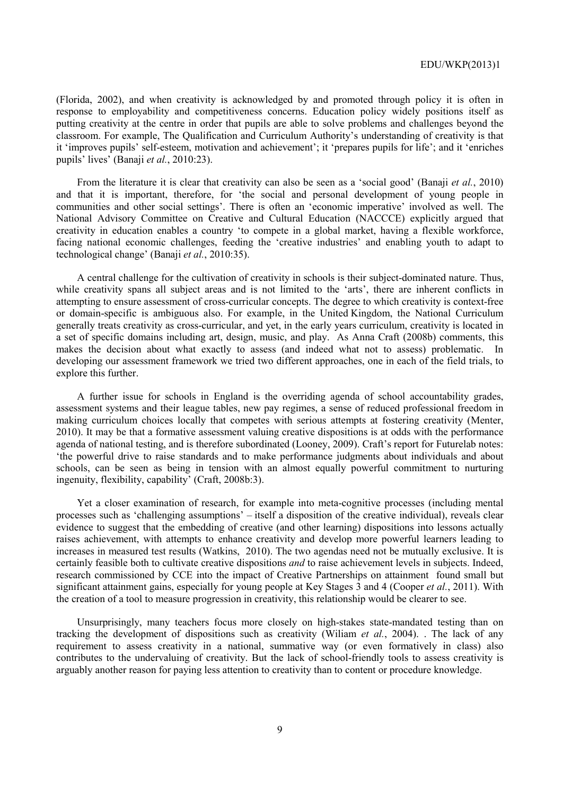(Florida, 2002), and when creativity is acknowledged by and promoted through policy it is often in response to employability and competitiveness concerns. Education policy widely positions itself as putting creativity at the centre in order that pupils are able to solve problems and challenges beyond the classroom. For example, The Qualification and Curriculum Authority's understanding of creativity is that it 'improves pupils' self-esteem, motivation and achievement'; it 'prepares pupils for life'; and it 'enriches pupils' lives' (Banaji *et al.*, 2010:23).

From the literature it is clear that creativity can also be seen as a 'social good' (Banaji *et al.*, 2010) and that it is important, therefore, for 'the social and personal development of young people in communities and other social settings'. There is often an 'economic imperative' involved as well. The National Advisory Committee on Creative and Cultural Education (NACCCE) explicitly argued that creativity in education enables a country 'to compete in a global market, having a flexible workforce, facing national economic challenges, feeding the 'creative industries' and enabling youth to adapt to technological change' (Banaji *et al.*, 2010:35).

A central challenge for the cultivation of creativity in schools is their subject-dominated nature. Thus, while creativity spans all subject areas and is not limited to the 'arts', there are inherent conflicts in attempting to ensure assessment of cross-curricular concepts. The degree to which creativity is context-free or domain-specific is ambiguous also. For example, in the United Kingdom, the National Curriculum generally treats creativity as cross-curricular, and yet, in the early years curriculum, creativity is located in a set of specific domains including art, design, music, and play. As Anna Craft (2008b) comments, this makes the decision about what exactly to assess (and indeed what not to assess) problematic. In developing our assessment framework we tried two different approaches, one in each of the field trials, to explore this further.

A further issue for schools in England is the overriding agenda of school accountability grades, assessment systems and their league tables, new pay regimes, a sense of reduced professional freedom in making curriculum choices locally that competes with serious attempts at fostering creativity (Menter, 2010). It may be that a formative assessment valuing creative dispositions is at odds with the performance agenda of national testing, and is therefore subordinated (Looney, 2009). Craft's report for Futurelab notes: 'the powerful drive to raise standards and to make performance judgments about individuals and about schools, can be seen as being in tension with an almost equally powerful commitment to nurturing ingenuity, flexibility, capability' (Craft, 2008b:3).

Yet a closer examination of research, for example into meta-cognitive processes (including mental processes such as 'challenging assumptions' – itself a disposition of the creative individual), reveals clear evidence to suggest that the embedding of creative (and other learning) dispositions into lessons actually raises achievement, with attempts to enhance creativity and develop more powerful learners leading to increases in measured test results (Watkins, 2010). The two agendas need not be mutually exclusive. It is certainly feasible both to cultivate creative dispositions *and* to raise achievement levels in subjects. Indeed, research commissioned by CCE into the impact of Creative Partnerships on attainment found small but significant attainment gains, especially for young people at Key Stages 3 and 4 (Cooper *et al.*, 2011). With the creation of a tool to measure progression in creativity, this relationship would be clearer to see.

Unsurprisingly, many teachers focus more closely on high-stakes state-mandated testing than on tracking the development of dispositions such as creativity (Wiliam *et al.*, 2004). . The lack of any requirement to assess creativity in a national, summative way (or even formatively in class) also contributes to the undervaluing of creativity. But the lack of school-friendly tools to assess creativity is arguably another reason for paying less attention to creativity than to content or procedure knowledge.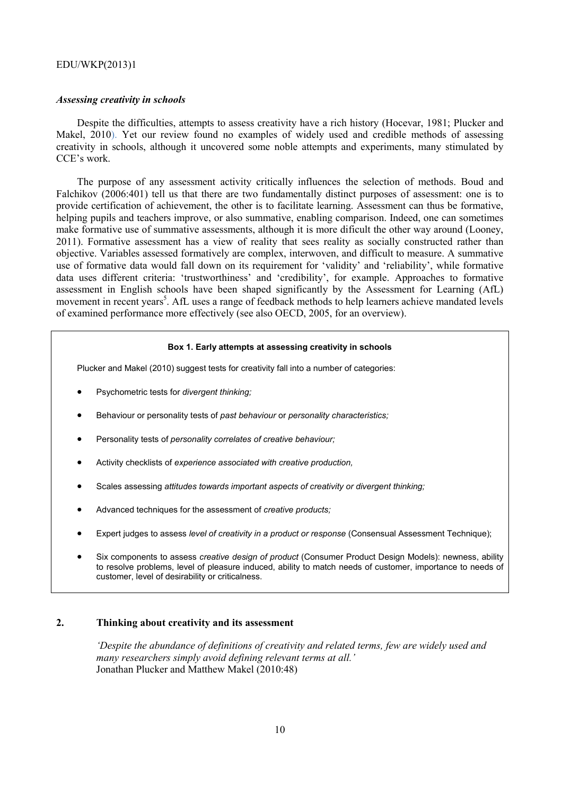#### *Assessing creativity in schools*

Despite the difficulties, attempts to assess creativity have a rich history (Hocevar, 1981; Plucker and Makel, 2010). Yet our review found no examples of widely used and credible methods of assessing creativity in schools, although it uncovered some noble attempts and experiments, many stimulated by CCE's work.

The purpose of any assessment activity critically influences the selection of methods. Boud and Falchikov (2006:401) tell us that there are two fundamentally distinct purposes of assessment: one is to provide certification of achievement, the other is to facilitate learning. Assessment can thus be formative, helping pupils and teachers improve, or also summative, enabling comparison. Indeed, one can sometimes make formative use of summative assessments, although it is more dificult the other way around (Looney, 2011). Formative assessment has a view of reality that sees reality as socially constructed rather than objective. Variables assessed formatively are complex, interwoven, and difficult to measure. A summative use of formative data would fall down on its requirement for 'validity' and 'reliability', while formative data uses different criteria: 'trustworthiness' and 'credibility', for example. Approaches to formative assessment in English schools have been shaped significantly by the Assessment for Learning (AfL) movement in recent years<sup>5</sup>. AfL uses a range of feedback methods to help learners achieve mandated levels of examined performance more effectively (see also OECD, 2005, for an overview).

#### **Box 1. Early attempts at assessing creativity in schools**

Plucker and Makel (2010) suggest tests for creativity fall into a number of categories:

- Psychometric tests for *divergent thinking;*
- Behaviour or personality tests of *past behaviour* or *personality characteristics;*
- Personality tests of *personality correlates of creative behaviour;*
- Activity checklists of *experience associated with creative production,*
- Scales assessing *attitudes towards important aspects of creativity or divergent thinking;*
- Advanced techniques for the assessment of *creative products;*
- Expert judges to assess *level of creativity in a product or response* (Consensual Assessment Technique);
- Six components to assess *creative design of product* (Consumer Product Design Models): newness, ability to resolve problems, level of pleasure induced, ability to match needs of customer, importance to needs of customer, level of desirability or criticalness.

#### **2. Thinking about creativity and its assessment**

*'Despite the abundance of definitions of creativity and related terms, few are widely used and many researchers simply avoid defining relevant terms at all.'*  Jonathan Plucker and Matthew Makel (2010:48)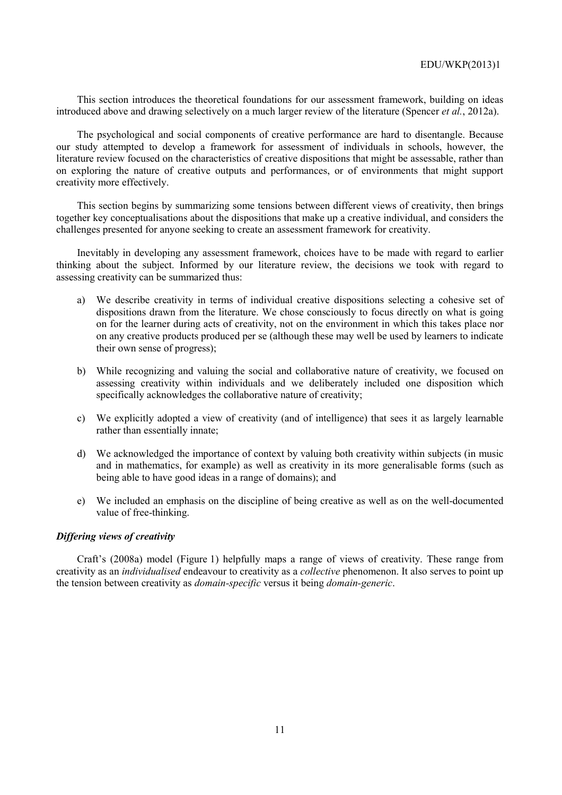This section introduces the theoretical foundations for our assessment framework, building on ideas introduced above and drawing selectively on a much larger review of the literature (Spencer *et al.*, 2012a).

The psychological and social components of creative performance are hard to disentangle. Because our study attempted to develop a framework for assessment of individuals in schools, however, the literature review focused on the characteristics of creative dispositions that might be assessable, rather than on exploring the nature of creative outputs and performances, or of environments that might support creativity more effectively.

This section begins by summarizing some tensions between different views of creativity, then brings together key conceptualisations about the dispositions that make up a creative individual, and considers the challenges presented for anyone seeking to create an assessment framework for creativity.

Inevitably in developing any assessment framework, choices have to be made with regard to earlier thinking about the subject. Informed by our literature review, the decisions we took with regard to assessing creativity can be summarized thus:

- a) We describe creativity in terms of individual creative dispositions selecting a cohesive set of dispositions drawn from the literature. We chose consciously to focus directly on what is going on for the learner during acts of creativity, not on the environment in which this takes place nor on any creative products produced per se (although these may well be used by learners to indicate their own sense of progress);
- b) While recognizing and valuing the social and collaborative nature of creativity, we focused on assessing creativity within individuals and we deliberately included one disposition which specifically acknowledges the collaborative nature of creativity;
- c) We explicitly adopted a view of creativity (and of intelligence) that sees it as largely learnable rather than essentially innate;
- d) We acknowledged the importance of context by valuing both creativity within subjects (in music and in mathematics, for example) as well as creativity in its more generalisable forms (such as being able to have good ideas in a range of domains); and
- e) We included an emphasis on the discipline of being creative as well as on the well-documented value of free-thinking.

# *Differing views of creativity*

Craft's (2008a) model (Figure 1) helpfully maps a range of views of creativity. These range from creativity as an *individualised* endeavour to creativity as a *collective* phenomenon. It also serves to point up the tension between creativity as *domain-specific* versus it being *domain-generic*.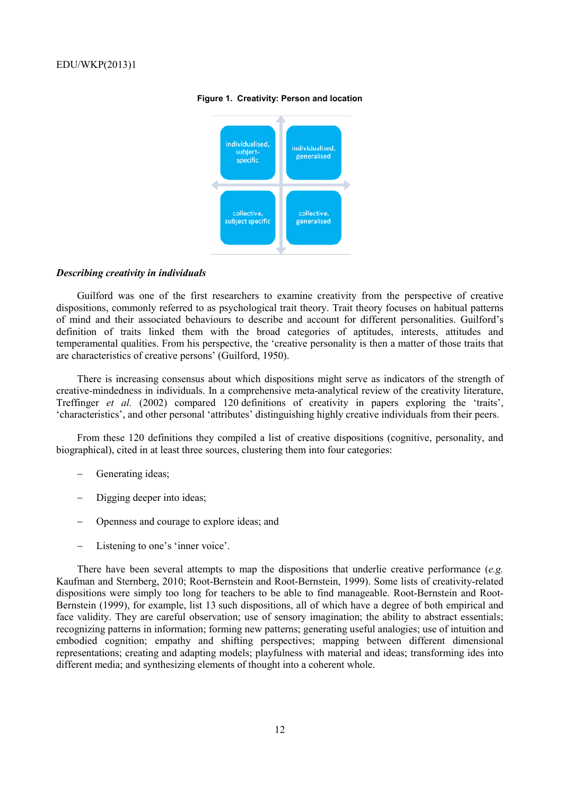

#### **Figure 1. Creativity: Person and location**

#### *Describing creativity in individuals*

Guilford was one of the first researchers to examine creativity from the perspective of creative dispositions, commonly referred to as psychological trait theory. Trait theory focuses on habitual patterns of mind and their associated behaviours to describe and account for different personalities. Guilford's definition of traits linked them with the broad categories of aptitudes, interests, attitudes and temperamental qualities. From his perspective, the 'creative personality is then a matter of those traits that are characteristics of creative persons' (Guilford, 1950).

There is increasing consensus about which dispositions might serve as indicators of the strength of creative-mindedness in individuals. In a comprehensive meta-analytical review of the creativity literature, Treffinger *et al.* (2002) compared 120 definitions of creativity in papers exploring the 'traits', 'characteristics', and other personal 'attributes' distinguishing highly creative individuals from their peers.

From these 120 definitions they compiled a list of creative dispositions (cognitive, personality, and biographical), cited in at least three sources, clustering them into four categories:

- − Generating ideas;
- Digging deeper into ideas;
- − Openness and courage to explore ideas; and
- − Listening to one's 'inner voice'.

There have been several attempts to map the dispositions that underlie creative performance (*e.g.* Kaufman and Sternberg, 2010; Root-Bernstein and Root-Bernstein, 1999). Some lists of creativity-related dispositions were simply too long for teachers to be able to find manageable. Root-Bernstein and Root-Bernstein (1999), for example, list 13 such dispositions, all of which have a degree of both empirical and face validity. They are careful observation; use of sensory imagination; the ability to abstract essentials; recognizing patterns in information; forming new patterns; generating useful analogies; use of intuition and embodied cognition; empathy and shifting perspectives; mapping between different dimensional representations; creating and adapting models; playfulness with material and ideas; transforming ides into different media; and synthesizing elements of thought into a coherent whole.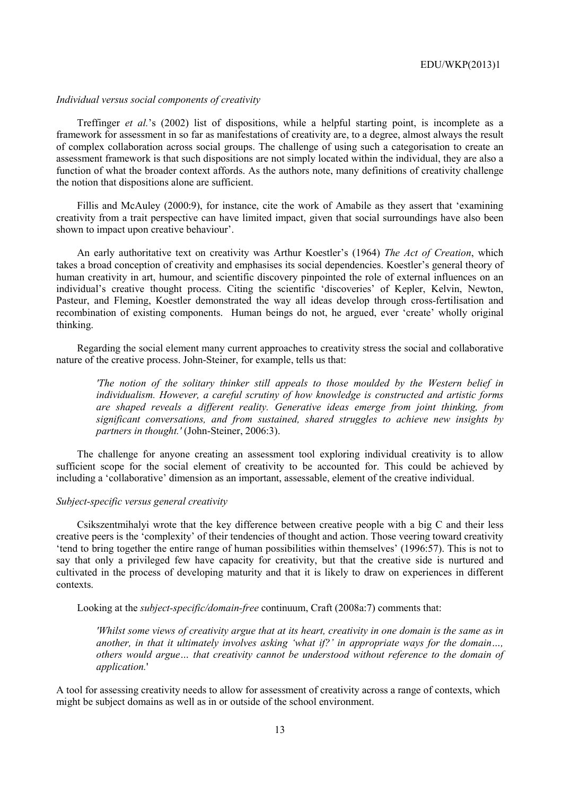#### *Individual versus social components of creativity*

Treffinger *et al.*'s (2002) list of dispositions, while a helpful starting point, is incomplete as a framework for assessment in so far as manifestations of creativity are, to a degree, almost always the result of complex collaboration across social groups. The challenge of using such a categorisation to create an assessment framework is that such dispositions are not simply located within the individual, they are also a function of what the broader context affords. As the authors note, many definitions of creativity challenge the notion that dispositions alone are sufficient.

Fillis and McAuley (2000:9), for instance, cite the work of Amabile as they assert that 'examining creativity from a trait perspective can have limited impact, given that social surroundings have also been shown to impact upon creative behaviour'.

An early authoritative text on creativity was Arthur Koestler's (1964) *The Act of Creation*, which takes a broad conception of creativity and emphasises its social dependencies. Koestler's general theory of human creativity in art, humour, and scientific discovery pinpointed the role of external influences on an individual's creative thought process. Citing the scientific 'discoveries' of Kepler, Kelvin, Newton, Pasteur, and Fleming, Koestler demonstrated the way all ideas develop through cross-fertilisation and recombination of existing components. Human beings do not, he argued, ever 'create' wholly original thinking.

Regarding the social element many current approaches to creativity stress the social and collaborative nature of the creative process. John-Steiner, for example, tells us that:

*'The notion of the solitary thinker still appeals to those moulded by the Western belief in individualism. However, a careful scrutiny of how knowledge is constructed and artistic forms are shaped reveals a different reality. Generative ideas emerge from joint thinking, from significant conversations, and from sustained, shared struggles to achieve new insights by partners in thought.'* (John-Steiner, 2006:3).

The challenge for anyone creating an assessment tool exploring individual creativity is to allow sufficient scope for the social element of creativity to be accounted for. This could be achieved by including a 'collaborative' dimension as an important, assessable, element of the creative individual.

# *Subject-specific versus general creativity*

Csikszentmihalyi wrote that the key difference between creative people with a big C and their less creative peers is the 'complexity' of their tendencies of thought and action. Those veering toward creativity 'tend to bring together the entire range of human possibilities within themselves' (1996:57). This is not to say that only a privileged few have capacity for creativity, but that the creative side is nurtured and cultivated in the process of developing maturity and that it is likely to draw on experiences in different contexts.

Looking at the *subject-specific/domain-free* continuum, Craft (2008a:7) comments that:

*'Whilst some views of creativity argue that at its heart, creativity in one domain is the same as in another, in that it ultimately involves asking 'what if?' in appropriate ways for the domain…, others would argue… that creativity cannot be understood without reference to the domain of application.*'

A tool for assessing creativity needs to allow for assessment of creativity across a range of contexts, which might be subject domains as well as in or outside of the school environment.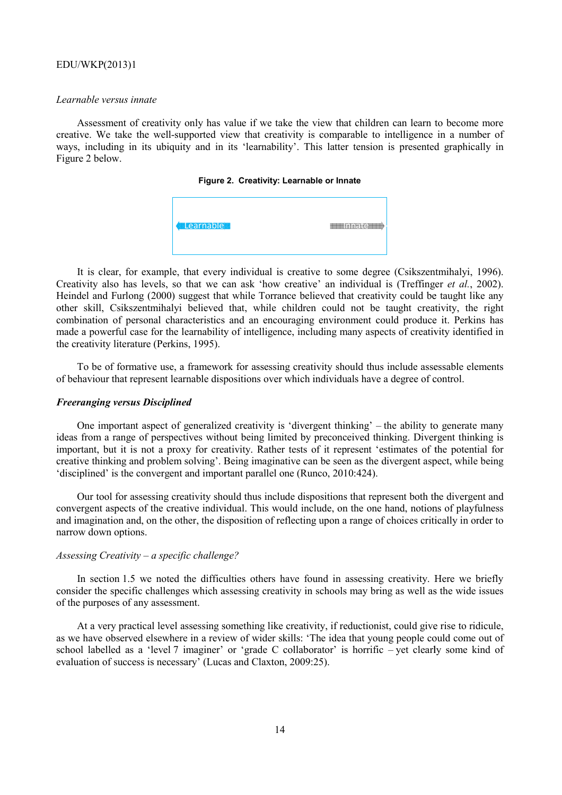#### *Learnable versus innate*

Assessment of creativity only has value if we take the view that children can learn to become more creative. We take the well-supported view that creativity is comparable to intelligence in a number of ways, including in its ubiquity and in its 'learnability'. This latter tension is presented graphically in Figure 2 below.

|  | Figure 2. Creativity: Learnable or Innate |  |  |
|--|-------------------------------------------|--|--|
|--|-------------------------------------------|--|--|

| <b>Learnable</b> | Δ |
|------------------|---|
|------------------|---|

It is clear, for example, that every individual is creative to some degree (Csikszentmihalyi, 1996). Creativity also has levels, so that we can ask 'how creative' an individual is (Treffinger et al., 2002). Heindel and Furlong (2000) suggest that while Torrance believed that creativity could be taught like any other skill, Csikszentmihalyi believed that, while children could not be taught creativity, the right combination of personal characteristics and an encouraging environment could produce it. Perkins has made a powerful case for the learnability of intelligence, including many aspects of creativity identified in the creativity literature (Perkins, 1995).

To be of formative use, a framework for assessing creativity should thus include assessable elements of behaviour that represent learnable dispositions over which individuals have a degree of control.

#### *Freeranging versus Disciplined*

One important aspect of generalized creativity is 'divergent thinking' – the ability to generate many ideas from a range of perspectives without being limited by preconceived thinking. Divergent thinking is important, but it is not a proxy for creativity. Rather tests of it represent 'estimates of the potential for creative thinking and problem solving'. B Being imaginative can be seen as the divergent asp pect, while being 'disciplined' is the convergent and important parallel one (Runco, 2010:424).

Our tool for assessing creativity should thus include dispositions that represent both the divergent and convergent aspects of the creative individual. This would include, on the one hand, notions of playfulness and imagination and, on the other, the disposition of reflecting upon a range of choices critically in order to narrow down options.

#### Assessing Creativity – a specific challenge?

In section 1.5 we noted the difficulties others have found in assessing creativity. Here we briefly consider the specific challenges which assessing creativity in schools may bring as well as the wide issues of the purposes of any assessment.

At a very practical level assessing something like creativity, if reductionist, could give rise to ridicule, as we have observed elsewhere in a review of wider skills: 'The idea that young people could come out of school labelled as a 'level 7 imaginer' or 'grade C collaborator' is horrific - yet clearly some kind of evaluation of success is necessary' (Lucas and Claxton, 2009:25).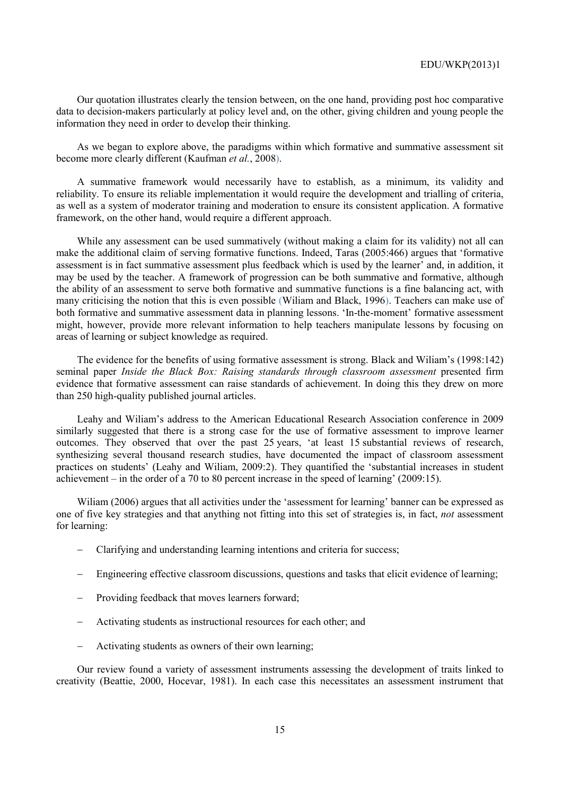Our quotation illustrates clearly the tension between, on the one hand, providing post hoc comparative data to decision-makers particularly at policy level and, on the other, giving children and young people the information they need in order to develop their thinking.

As we began to explore above, the paradigms within which formative and summative assessment sit become more clearly different (Kaufman *et al.*, 2008).

A summative framework would necessarily have to establish, as a minimum, its validity and reliability. To ensure its reliable implementation it would require the development and trialling of criteria, as well as a system of moderator training and moderation to ensure its consistent application. A formative framework, on the other hand, would require a different approach.

While any assessment can be used summatively (without making a claim for its validity) not all can make the additional claim of serving formative functions. Indeed, Taras (2005:466) argues that 'formative assessment is in fact summative assessment plus feedback which is used by the learner' and, in addition, it may be used by the teacher. A framework of progression can be both summative and formative, although the ability of an assessment to serve both formative and summative functions is a fine balancing act, with many criticising the notion that this is even possible (Wiliam and Black, 1996). Teachers can make use of both formative and summative assessment data in planning lessons. 'In-the-moment' formative assessment might, however, provide more relevant information to help teachers manipulate lessons by focusing on areas of learning or subject knowledge as required.

The evidence for the benefits of using formative assessment is strong. Black and Wiliam's (1998:142) seminal paper *Inside the Black Box: Raising standards through classroom assessment* presented firm evidence that formative assessment can raise standards of achievement. In doing this they drew on more than 250 high-quality published journal articles.

Leahy and Wiliam's address to the American Educational Research Association conference in 2009 similarly suggested that there is a strong case for the use of formative assessment to improve learner outcomes. They observed that over the past 25 years, 'at least 15 substantial reviews of research, synthesizing several thousand research studies, have documented the impact of classroom assessment practices on students' (Leahy and Wiliam, 2009:2). They quantified the 'substantial increases in student achievement – in the order of a 70 to 80 percent increase in the speed of learning' (2009:15).

Wiliam (2006) argues that all activities under the 'assessment for learning' banner can be expressed as one of five key strategies and that anything not fitting into this set of strategies is, in fact, *not* assessment for learning:

- − Clarifying and understanding learning intentions and criteria for success;
- − Engineering effective classroom discussions, questions and tasks that elicit evidence of learning;
- Providing feedback that moves learners forward:
- − Activating students as instructional resources for each other; and
- Activating students as owners of their own learning;

Our review found a variety of assessment instruments assessing the development of traits linked to creativity (Beattie, 2000, Hocevar, 1981). In each case this necessitates an assessment instrument that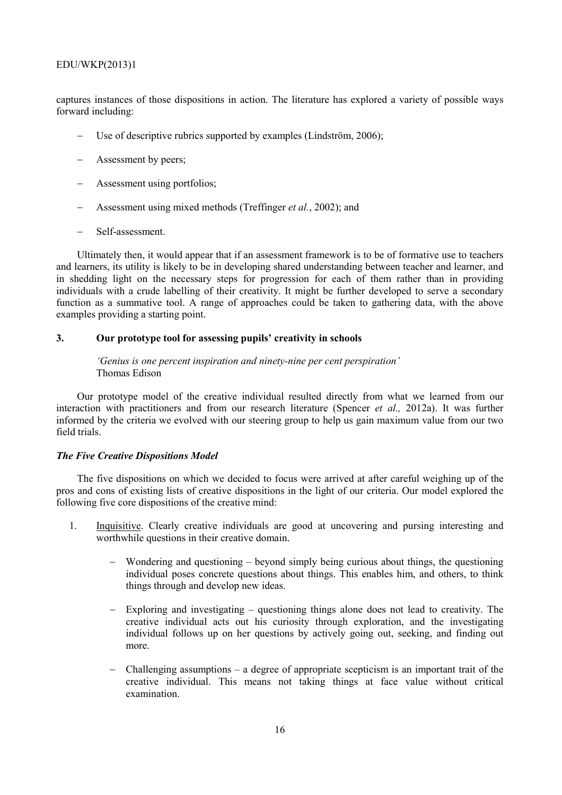captures instances of those dispositions in action. The literature has explored a variety of possible ways forward including:

- − Use of descriptive rubrics supported by examples (Lindström, 2006);
- Assessment by peers;
- − Assessment using portfolios;
- − Assessment using mixed methods (Treffinger *et al.*, 2002); and
- − Self-assessment.

Ultimately then, it would appear that if an assessment framework is to be of formative use to teachers and learners, its utility is likely to be in developing shared understanding between teacher and learner, and in shedding light on the necessary steps for progression for each of them rather than in providing individuals with a crude labelling of their creativity. It might be further developed to serve a secondary function as a summative tool. A range of approaches could be taken to gathering data, with the above examples providing a starting point.

# **3. Our prototype tool for assessing pupils' creativity in schools**

*'Genius is one percent inspiration and ninety-nine per cent perspiration'* Thomas Edison

Our prototype model of the creative individual resulted directly from what we learned from our interaction with practitioners and from our research literature (Spencer *et al.,* 2012a). It was further informed by the criteria we evolved with our steering group to help us gain maximum value from our two field trials.

#### *The Five Creative Dispositions Model*

The five dispositions on which we decided to focus were arrived at after careful weighing up of the pros and cons of existing lists of creative dispositions in the light of our criteria. Our model explored the following five core dispositions of the creative mind:

- 1. Inquisitive. Clearly creative individuals are good at uncovering and pursing interesting and worthwhile questions in their creative domain.
	- Wondering and questioning  $-$  beyond simply being curious about things, the questioning individual poses concrete questions about things. This enables him, and others, to think things through and develop new ideas.
	- Exploring and investigating  $-$  questioning things alone does not lead to creativity. The creative individual acts out his curiosity through exploration, and the investigating individual follows up on her questions by actively going out, seeking, and finding out more.
	- − Challenging assumptions a degree of appropriate scepticism is an important trait of the creative individual. This means not taking things at face value without critical examination.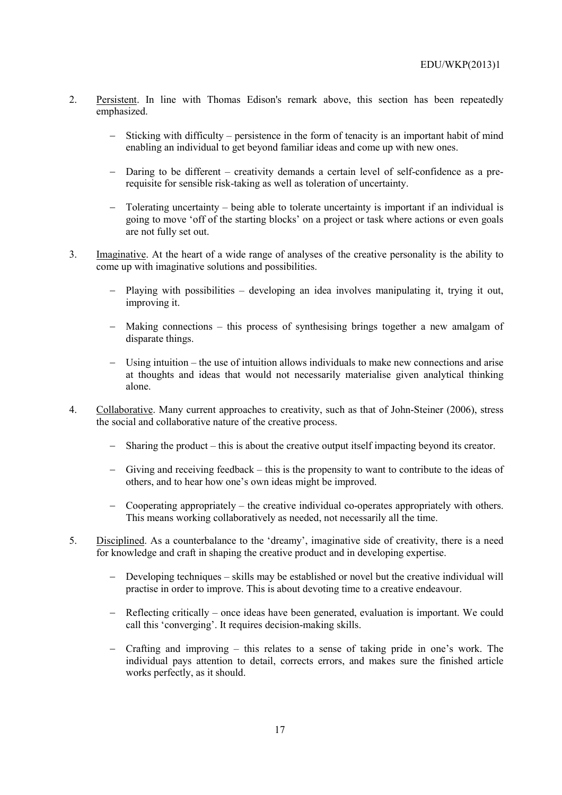- 2. Persistent. In line with Thomas Edison's remark above, this section has been repeatedly emphasized.
	- Sticking with difficulty persistence in the form of tenacity is an important habit of mind enabling an individual to get beyond familiar ideas and come up with new ones.
	- − Daring to be different creativity demands a certain level of self-confidence as a prerequisite for sensible risk-taking as well as toleration of uncertainty.
	- Tolerating uncertainty being able to tolerate uncertainty is important if an individual is going to move 'off of the starting blocks' on a project or task where actions or even goals are not fully set out.
- 3. Imaginative. At the heart of a wide range of analyses of the creative personality is the ability to come up with imaginative solutions and possibilities.
	- − Playing with possibilities developing an idea involves manipulating it, trying it out, improving it.
	- − Making connections this process of synthesising brings together a new amalgam of disparate things.
	- Using intuition the use of intuition allows individuals to make new connections and arise at thoughts and ideas that would not necessarily materialise given analytical thinking alone.
- 4. Collaborative. Many current approaches to creativity, such as that of John-Steiner (2006), stress the social and collaborative nature of the creative process.
	- − Sharing the product this is about the creative output itself impacting beyond its creator.
	- − Giving and receiving feedback this is the propensity to want to contribute to the ideas of others, and to hear how one's own ideas might be improved.
	- − Cooperating appropriately the creative individual co-operates appropriately with others. This means working collaboratively as needed, not necessarily all the time.
- 5. Disciplined. As a counterbalance to the 'dreamy', imaginative side of creativity, there is a need for knowledge and craft in shaping the creative product and in developing expertise.
	- Developing techniques skills may be established or novel but the creative individual will practise in order to improve. This is about devoting time to a creative endeavour.
	- − Reflecting critically once ideas have been generated, evaluation is important. We could call this 'converging'. It requires decision-making skills.
	- − Crafting and improving this relates to a sense of taking pride in one's work. The individual pays attention to detail, corrects errors, and makes sure the finished article works perfectly, as it should.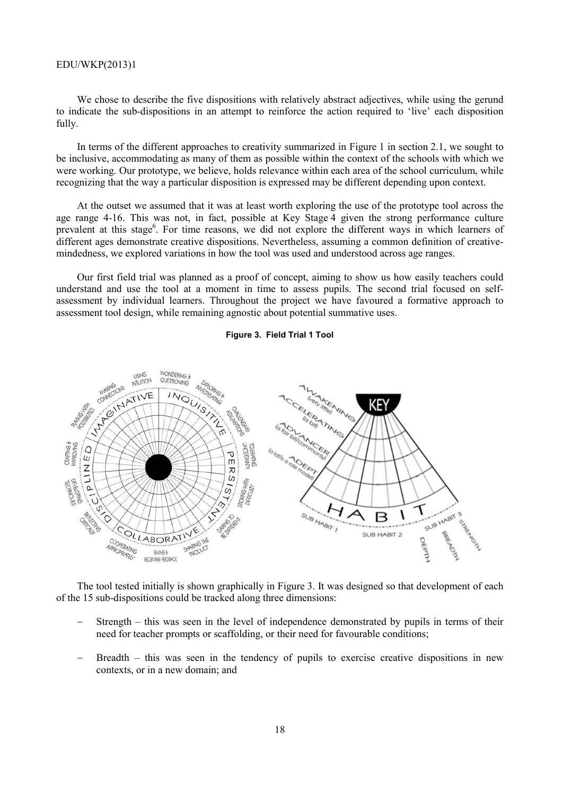We chose to describe the five dispositions with relatively abstract adjectives, while using the gerund to indicate the sub-dispositions in an attempt to reinforce the action required to 'live' each disposition fully.

In terms of the different approaches to creativity summarized in Figure 1 in section 2.1, we sought to be inclusive, accommodating as many of them as possible within the context of the schools with which we were working. Our prototype, we believe, holds relevance within each area of the school curriculum, while recognizing that the way a particular disposition is expressed may be different depending upon context.

At the outset we assumed that it was at least worth exploring the use of the prototype tool across the age range 4-16. This was not, in fact, possible at Key Stage 4 given the strong performance culture prevalent at this stage<sup>6</sup>. For time reasons, we did not explore the different ways in which learners of different ages demonstrate creative dispositions. Nevertheless, assuming a common definition of creativemindedness, we explored variations in how the tool was used and understood across age ranges.

Our first field trial was planned as a proof of concept, aiming to show us how easily teachers could understand and use the tool at a moment in time to assess pupils. The second trial focused on selfassessment by individual learners. Throughout the project we have favoured a formative approach to assessment tool design, while remaining agnostic about potential summative uses.

#### **Figure 3. Field Trial 1 Tool**



The tool tested initially is shown graphically in Figure 3. It was designed so that development of each of the 15 sub-dispositions could be tracked along three dimensions:

- Strength this was seen in the level of independence demonstrated by pupils in terms of their need for teacher prompts or scaffolding, or their need for favourable conditions;
- Breadth this was seen in the tendency of pupils to exercise creative dispositions in new contexts, or in a new domain; and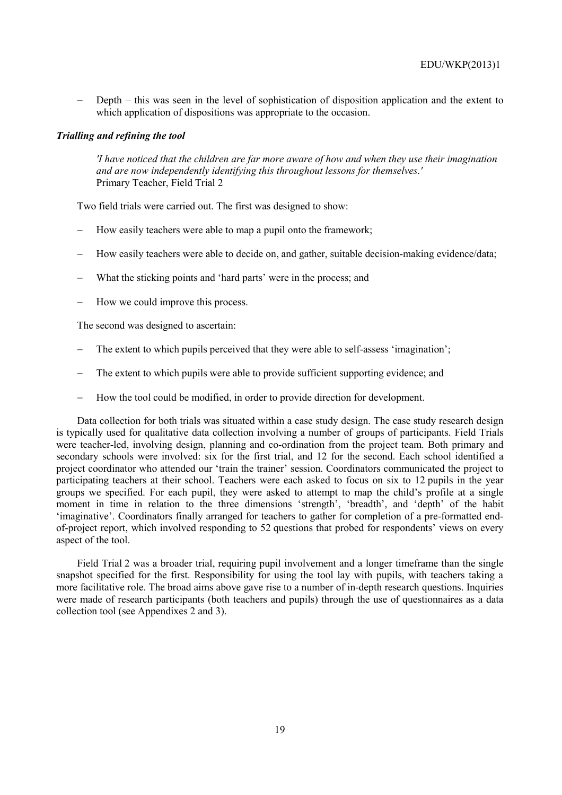Depth – this was seen in the level of sophistication of disposition application and the extent to which application of dispositions was appropriate to the occasion.

### *Trialling and refining the tool*

*'I have noticed that the children are far more aware of how and when they use their imagination and are now independently identifying this throughout lessons for themselves.'* Primary Teacher, Field Trial 2

Two field trials were carried out. The first was designed to show:

- How easily teachers were able to map a pupil onto the framework;
- How easily teachers were able to decide on, and gather, suitable decision-making evidence/data;
- What the sticking points and 'hard parts' were in the process; and
- How we could improve this process.

The second was designed to ascertain:

- The extent to which pupils perceived that they were able to self-assess 'imagination';
- The extent to which pupils were able to provide sufficient supporting evidence; and
- − How the tool could be modified, in order to provide direction for development.

Data collection for both trials was situated within a case study design. The case study research design is typically used for qualitative data collection involving a number of groups of participants. Field Trials were teacher-led, involving design, planning and co-ordination from the project team. Both primary and secondary schools were involved: six for the first trial, and 12 for the second. Each school identified a project coordinator who attended our 'train the trainer' session. Coordinators communicated the project to participating teachers at their school. Teachers were each asked to focus on six to 12 pupils in the year groups we specified. For each pupil, they were asked to attempt to map the child's profile at a single moment in time in relation to the three dimensions 'strength', 'breadth', and 'depth' of the habit 'imaginative'. Coordinators finally arranged for teachers to gather for completion of a pre-formatted endof-project report, which involved responding to 52 questions that probed for respondents' views on every aspect of the tool.

Field Trial 2 was a broader trial, requiring pupil involvement and a longer timeframe than the single snapshot specified for the first. Responsibility for using the tool lay with pupils, with teachers taking a more facilitative role. The broad aims above gave rise to a number of in-depth research questions. Inquiries were made of research participants (both teachers and pupils) through the use of questionnaires as a data collection tool (see Appendixes 2 and 3).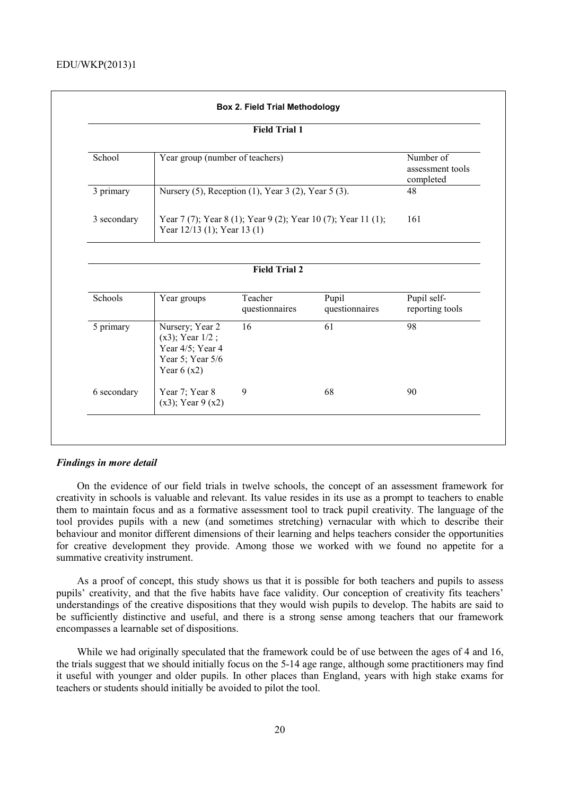| <b>Field Trial 1</b> |                                                                                                  |                                                     |                         |                                            |
|----------------------|--------------------------------------------------------------------------------------------------|-----------------------------------------------------|-------------------------|--------------------------------------------|
| School               | Year group (number of teachers)                                                                  |                                                     |                         | Number of<br>assessment tools<br>completed |
| 3 primary            |                                                                                                  | Nursery (5), Reception (1), Year 3 (2), Year 5 (3). |                         | 48                                         |
| 3 secondary          | 161                                                                                              |                                                     |                         |                                            |
|                      |                                                                                                  | Year 12/13 (1); Year 13 (1)<br><b>Field Trial 2</b> |                         |                                            |
| Schools              | Year groups                                                                                      | Teacher<br>questionnaires                           | Pupil<br>questionnaires | Pupil self-<br>reporting tools             |
| 5 primary            | Nursery; Year 2<br>$(x3)$ ; Year $1/2$ ;<br>Year 4/5; Year 4<br>Year 5; Year 5/6<br>Year $6(x2)$ | 16                                                  | 61                      | 98                                         |

#### *Findings in more detail*

On the evidence of our field trials in twelve schools, the concept of an assessment framework for creativity in schools is valuable and relevant. Its value resides in its use as a prompt to teachers to enable them to maintain focus and as a formative assessment tool to track pupil creativity. The language of the tool provides pupils with a new (and sometimes stretching) vernacular with which to describe their behaviour and monitor different dimensions of their learning and helps teachers consider the opportunities for creative development they provide. Among those we worked with we found no appetite for a summative creativity instrument.

As a proof of concept, this study shows us that it is possible for both teachers and pupils to assess pupils' creativity, and that the five habits have face validity. Our conception of creativity fits teachers' understandings of the creative dispositions that they would wish pupils to develop. The habits are said to be sufficiently distinctive and useful, and there is a strong sense among teachers that our framework encompasses a learnable set of dispositions.

While we had originally speculated that the framework could be of use between the ages of 4 and 16, the trials suggest that we should initially focus on the 5-14 age range, although some practitioners may find it useful with younger and older pupils. In other places than England, years with high stake exams for teachers or students should initially be avoided to pilot the tool.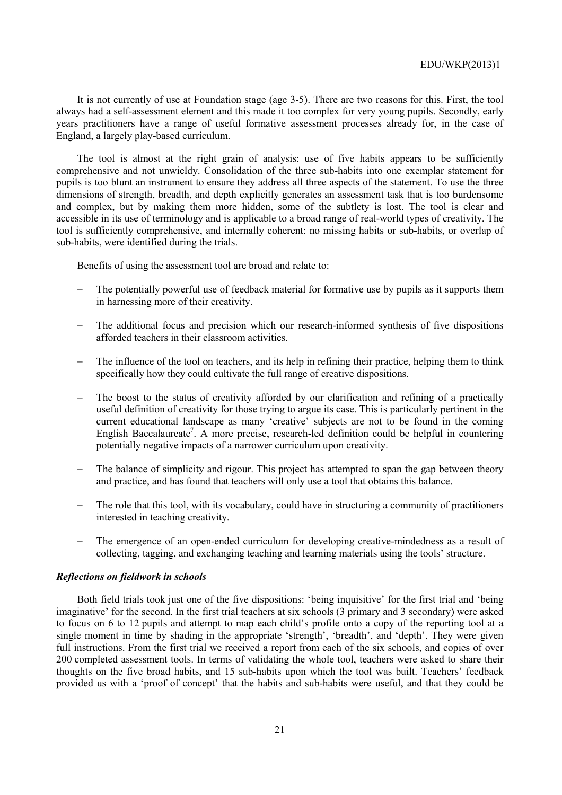It is not currently of use at Foundation stage (age 3-5). There are two reasons for this. First, the tool always had a self-assessment element and this made it too complex for very young pupils. Secondly, early years practitioners have a range of useful formative assessment processes already for, in the case of England, a largely play-based curriculum.

The tool is almost at the right grain of analysis: use of five habits appears to be sufficiently comprehensive and not unwieldy. Consolidation of the three sub-habits into one exemplar statement for pupils is too blunt an instrument to ensure they address all three aspects of the statement. To use the three dimensions of strength, breadth, and depth explicitly generates an assessment task that is too burdensome and complex, but by making them more hidden, some of the subtlety is lost. The tool is clear and accessible in its use of terminology and is applicable to a broad range of real-world types of creativity. The tool is sufficiently comprehensive, and internally coherent: no missing habits or sub-habits, or overlap of sub-habits, were identified during the trials.

Benefits of using the assessment tool are broad and relate to:

- The potentially powerful use of feedback material for formative use by pupils as it supports them in harnessing more of their creativity.
- The additional focus and precision which our research-informed synthesis of five dispositions afforded teachers in their classroom activities.
- The influence of the tool on teachers, and its help in refining their practice, helping them to think specifically how they could cultivate the full range of creative dispositions.
- The boost to the status of creativity afforded by our clarification and refining of a practically useful definition of creativity for those trying to argue its case. This is particularly pertinent in the current educational landscape as many 'creative' subjects are not to be found in the coming English Baccalaureate<sup>7</sup>. A more precise, research-led definition could be helpful in countering potentially negative impacts of a narrower curriculum upon creativity.
- The balance of simplicity and rigour. This project has attempted to span the gap between theory and practice, and has found that teachers will only use a tool that obtains this balance.
- The role that this tool, with its vocabulary, could have in structuring a community of practitioners interested in teaching creativity.
- The emergence of an open-ended curriculum for developing creative-mindedness as a result of collecting, tagging, and exchanging teaching and learning materials using the tools' structure.

### *Reflections on fieldwork in schools*

Both field trials took just one of the five dispositions: 'being inquisitive' for the first trial and 'being imaginative' for the second. In the first trial teachers at six schools (3 primary and 3 secondary) were asked to focus on 6 to 12 pupils and attempt to map each child's profile onto a copy of the reporting tool at a single moment in time by shading in the appropriate 'strength', 'breadth', and 'depth'. They were given full instructions. From the first trial we received a report from each of the six schools, and copies of over 200 completed assessment tools. In terms of validating the whole tool, teachers were asked to share their thoughts on the five broad habits, and 15 sub-habits upon which the tool was built. Teachers' feedback provided us with a 'proof of concept' that the habits and sub-habits were useful, and that they could be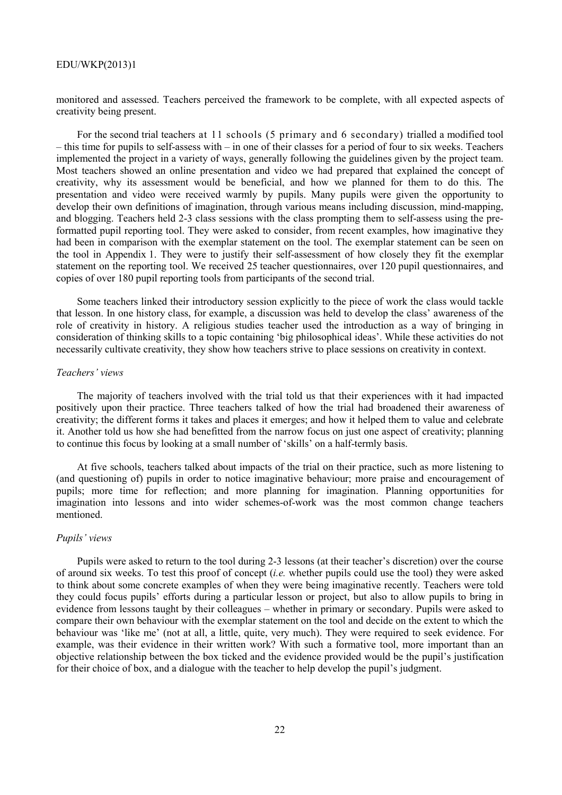monitored and assessed. Teachers perceived the framework to be complete, with all expected aspects of creativity being present.

For the second trial teachers at 11 schools (5 primary and 6 secondary) trialled a modified tool – this time for pupils to self-assess with – in one of their classes for a period of four to six weeks. Teachers implemented the project in a variety of ways, generally following the guidelines given by the project team. Most teachers showed an online presentation and video we had prepared that explained the concept of creativity, why its assessment would be beneficial, and how we planned for them to do this. The presentation and video were received warmly by pupils. Many pupils were given the opportunity to develop their own definitions of imagination, through various means including discussion, mind-mapping, and blogging. Teachers held 2-3 class sessions with the class prompting them to self-assess using the preformatted pupil reporting tool. They were asked to consider, from recent examples, how imaginative they had been in comparison with the exemplar statement on the tool. The exemplar statement can be seen on the tool in Appendix 1. They were to justify their self-assessment of how closely they fit the exemplar statement on the reporting tool. We received 25 teacher questionnaires, over 120 pupil questionnaires, and copies of over 180 pupil reporting tools from participants of the second trial.

Some teachers linked their introductory session explicitly to the piece of work the class would tackle that lesson. In one history class, for example, a discussion was held to develop the class' awareness of the role of creativity in history. A religious studies teacher used the introduction as a way of bringing in consideration of thinking skills to a topic containing 'big philosophical ideas'. While these activities do not necessarily cultivate creativity, they show how teachers strive to place sessions on creativity in context.

#### *Teachers' views*

The majority of teachers involved with the trial told us that their experiences with it had impacted positively upon their practice. Three teachers talked of how the trial had broadened their awareness of creativity; the different forms it takes and places it emerges; and how it helped them to value and celebrate it. Another told us how she had benefitted from the narrow focus on just one aspect of creativity; planning to continue this focus by looking at a small number of 'skills' on a half-termly basis.

At five schools, teachers talked about impacts of the trial on their practice, such as more listening to (and questioning of) pupils in order to notice imaginative behaviour; more praise and encouragement of pupils; more time for reflection; and more planning for imagination. Planning opportunities for imagination into lessons and into wider schemes-of-work was the most common change teachers mentioned.

#### *Pupils' views*

Pupils were asked to return to the tool during 2-3 lessons (at their teacher's discretion) over the course of around six weeks. To test this proof of concept (*i.e.* whether pupils could use the tool) they were asked to think about some concrete examples of when they were being imaginative recently. Teachers were told they could focus pupils' efforts during a particular lesson or project, but also to allow pupils to bring in evidence from lessons taught by their colleagues – whether in primary or secondary. Pupils were asked to compare their own behaviour with the exemplar statement on the tool and decide on the extent to which the behaviour was 'like me' (not at all, a little, quite, very much). They were required to seek evidence. For example, was their evidence in their written work? With such a formative tool, more important than an objective relationship between the box ticked and the evidence provided would be the pupil's justification for their choice of box, and a dialogue with the teacher to help develop the pupil's judgment.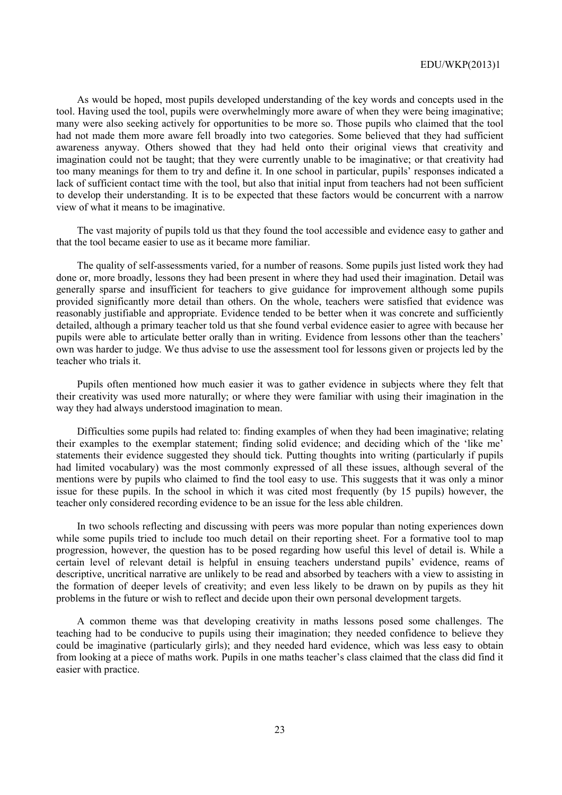As would be hoped, most pupils developed understanding of the key words and concepts used in the tool. Having used the tool, pupils were overwhelmingly more aware of when they were being imaginative; many were also seeking actively for opportunities to be more so. Those pupils who claimed that the tool had not made them more aware fell broadly into two categories. Some believed that they had sufficient awareness anyway. Others showed that they had held onto their original views that creativity and imagination could not be taught; that they were currently unable to be imaginative; or that creativity had too many meanings for them to try and define it. In one school in particular, pupils' responses indicated a lack of sufficient contact time with the tool, but also that initial input from teachers had not been sufficient to develop their understanding. It is to be expected that these factors would be concurrent with a narrow view of what it means to be imaginative.

The vast majority of pupils told us that they found the tool accessible and evidence easy to gather and that the tool became easier to use as it became more familiar.

The quality of self-assessments varied, for a number of reasons. Some pupils just listed work they had done or, more broadly, lessons they had been present in where they had used their imagination. Detail was generally sparse and insufficient for teachers to give guidance for improvement although some pupils provided significantly more detail than others. On the whole, teachers were satisfied that evidence was reasonably justifiable and appropriate. Evidence tended to be better when it was concrete and sufficiently detailed, although a primary teacher told us that she found verbal evidence easier to agree with because her pupils were able to articulate better orally than in writing. Evidence from lessons other than the teachers' own was harder to judge. We thus advise to use the assessment tool for lessons given or projects led by the teacher who trials it.

Pupils often mentioned how much easier it was to gather evidence in subjects where they felt that their creativity was used more naturally; or where they were familiar with using their imagination in the way they had always understood imagination to mean.

Difficulties some pupils had related to: finding examples of when they had been imaginative; relating their examples to the exemplar statement; finding solid evidence; and deciding which of the 'like me' statements their evidence suggested they should tick. Putting thoughts into writing (particularly if pupils had limited vocabulary) was the most commonly expressed of all these issues, although several of the mentions were by pupils who claimed to find the tool easy to use. This suggests that it was only a minor issue for these pupils. In the school in which it was cited most frequently (by 15 pupils) however, the teacher only considered recording evidence to be an issue for the less able children.

In two schools reflecting and discussing with peers was more popular than noting experiences down while some pupils tried to include too much detail on their reporting sheet. For a formative tool to map progression, however, the question has to be posed regarding how useful this level of detail is. While a certain level of relevant detail is helpful in ensuing teachers understand pupils' evidence, reams of descriptive, uncritical narrative are unlikely to be read and absorbed by teachers with a view to assisting in the formation of deeper levels of creativity; and even less likely to be drawn on by pupils as they hit problems in the future or wish to reflect and decide upon their own personal development targets.

A common theme was that developing creativity in maths lessons posed some challenges. The teaching had to be conducive to pupils using their imagination; they needed confidence to believe they could be imaginative (particularly girls); and they needed hard evidence, which was less easy to obtain from looking at a piece of maths work. Pupils in one maths teacher's class claimed that the class did find it easier with practice.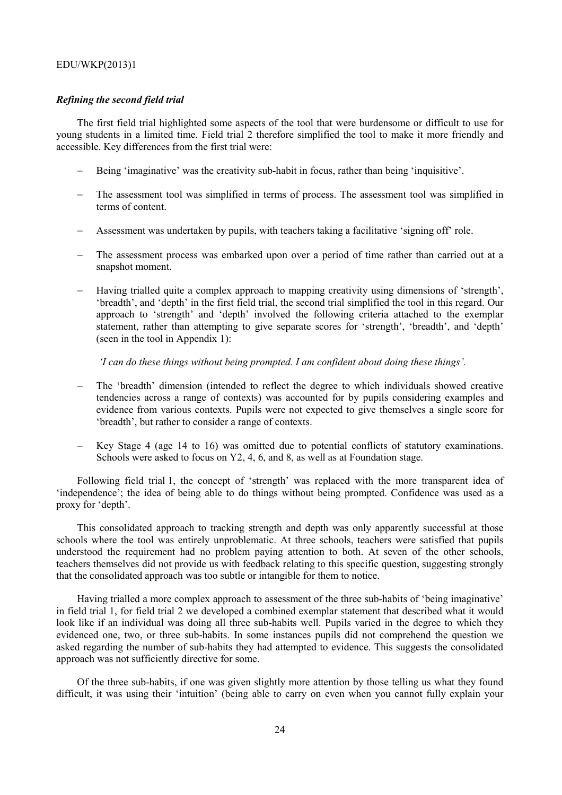### *Refining the second field trial*

The first field trial highlighted some aspects of the tool that were burdensome or difficult to use for young students in a limited time. Field trial 2 therefore simplified the tool to make it more friendly and accessible. Key differences from the first trial were:

- − Being 'imaginative' was the creativity sub-habit in focus, rather than being 'inquisitive'.
- The assessment tool was simplified in terms of process. The assessment tool was simplified in terms of content.
- − Assessment was undertaken by pupils, with teachers taking a facilitative 'signing off' role.
- − The assessment process was embarked upon over a period of time rather than carried out at a snapshot moment.
- − Having trialled quite a complex approach to mapping creativity using dimensions of 'strength', 'breadth', and 'depth' in the first field trial, the second trial simplified the tool in this regard. Our approach to 'strength' and 'depth' involved the following criteria attached to the exemplar statement, rather than attempting to give separate scores for 'strength', 'breadth', and 'depth' (seen in the tool in Appendix 1):

 *'I can do these things without being prompted. I am confident about doing these things'.* 

- The 'breadth' dimension (intended to reflect the degree to which individuals showed creative tendencies across a range of contexts) was accounted for by pupils considering examples and evidence from various contexts. Pupils were not expected to give themselves a single score for 'breadth', but rather to consider a range of contexts.
- Key Stage 4 (age 14 to 16) was omitted due to potential conflicts of statutory examinations. Schools were asked to focus on Y2, 4, 6, and 8, as well as at Foundation stage.

Following field trial 1, the concept of 'strength' was replaced with the more transparent idea of 'independence'; the idea of being able to do things without being prompted. Confidence was used as a proxy for 'depth'.

This consolidated approach to tracking strength and depth was only apparently successful at those schools where the tool was entirely unproblematic. At three schools, teachers were satisfied that pupils understood the requirement had no problem paying attention to both. At seven of the other schools, teachers themselves did not provide us with feedback relating to this specific question, suggesting strongly that the consolidated approach was too subtle or intangible for them to notice.

Having trialled a more complex approach to assessment of the three sub-habits of 'being imaginative' in field trial 1, for field trial 2 we developed a combined exemplar statement that described what it would look like if an individual was doing all three sub-habits well. Pupils varied in the degree to which they evidenced one, two, or three sub-habits. In some instances pupils did not comprehend the question we asked regarding the number of sub-habits they had attempted to evidence. This suggests the consolidated approach was not sufficiently directive for some.

Of the three sub-habits, if one was given slightly more attention by those telling us what they found difficult, it was using their 'intuition' (being able to carry on even when you cannot fully explain your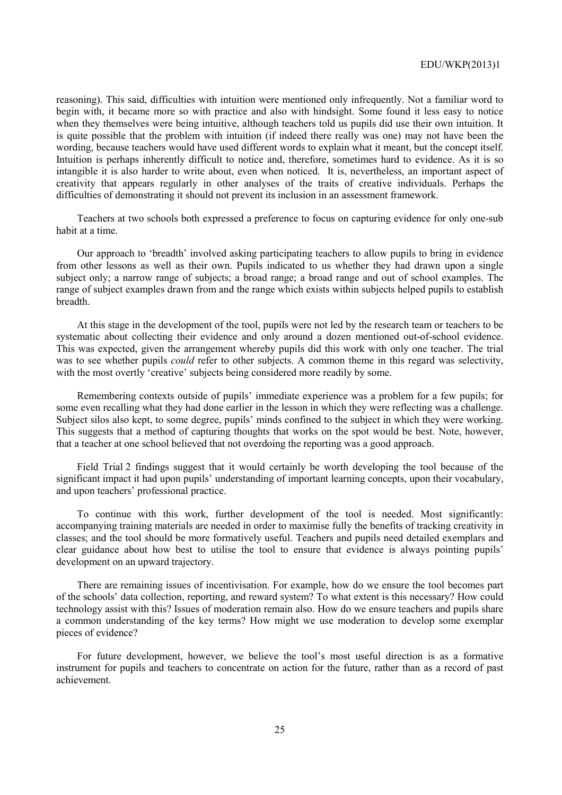reasoning). This said, difficulties with intuition were mentioned only infrequently. Not a familiar word to begin with, it became more so with practice and also with hindsight. Some found it less easy to notice when they themselves were being intuitive, although teachers told us pupils did use their own intuition. It is quite possible that the problem with intuition (if indeed there really was one) may not have been the wording, because teachers would have used different words to explain what it meant, but the concept itself. Intuition is perhaps inherently difficult to notice and, therefore, sometimes hard to evidence. As it is so intangible it is also harder to write about, even when noticed. It is, nevertheless, an important aspect of creativity that appears regularly in other analyses of the traits of creative individuals. Perhaps the difficulties of demonstrating it should not prevent its inclusion in an assessment framework.

Teachers at two schools both expressed a preference to focus on capturing evidence for only one-sub habit at a time.

Our approach to 'breadth' involved asking participating teachers to allow pupils to bring in evidence from other lessons as well as their own. Pupils indicated to us whether they had drawn upon a single subject only; a narrow range of subjects; a broad range; a broad range and out of school examples. The range of subject examples drawn from and the range which exists within subjects helped pupils to establish breadth.

At this stage in the development of the tool, pupils were not led by the research team or teachers to be systematic about collecting their evidence and only around a dozen mentioned out-of-school evidence. This was expected, given the arrangement whereby pupils did this work with only one teacher. The trial was to see whether pupils *could* refer to other subjects. A common theme in this regard was selectivity, with the most overtly 'creative' subjects being considered more readily by some.

Remembering contexts outside of pupils' immediate experience was a problem for a few pupils; for some even recalling what they had done earlier in the lesson in which they were reflecting was a challenge. Subject silos also kept, to some degree, pupils' minds confined to the subject in which they were working. This suggests that a method of capturing thoughts that works on the spot would be best. Note, however, that a teacher at one school believed that not overdoing the reporting was a good approach.

Field Trial 2 findings suggest that it would certainly be worth developing the tool because of the significant impact it had upon pupils' understanding of important learning concepts, upon their vocabulary, and upon teachers' professional practice.

To continue with this work, further development of the tool is needed. Most significantly: accompanying training materials are needed in order to maximise fully the benefits of tracking creativity in classes; and the tool should be more formatively useful. Teachers and pupils need detailed exemplars and clear guidance about how best to utilise the tool to ensure that evidence is always pointing pupils' development on an upward trajectory.

There are remaining issues of incentivisation. For example, how do we ensure the tool becomes part of the schools' data collection, reporting, and reward system? To what extent is this necessary? How could technology assist with this? Issues of moderation remain also. How do we ensure teachers and pupils share a common understanding of the key terms? How might we use moderation to develop some exemplar pieces of evidence?

For future development, however, we believe the tool's most useful direction is as a formative instrument for pupils and teachers to concentrate on action for the future, rather than as a record of past achievement.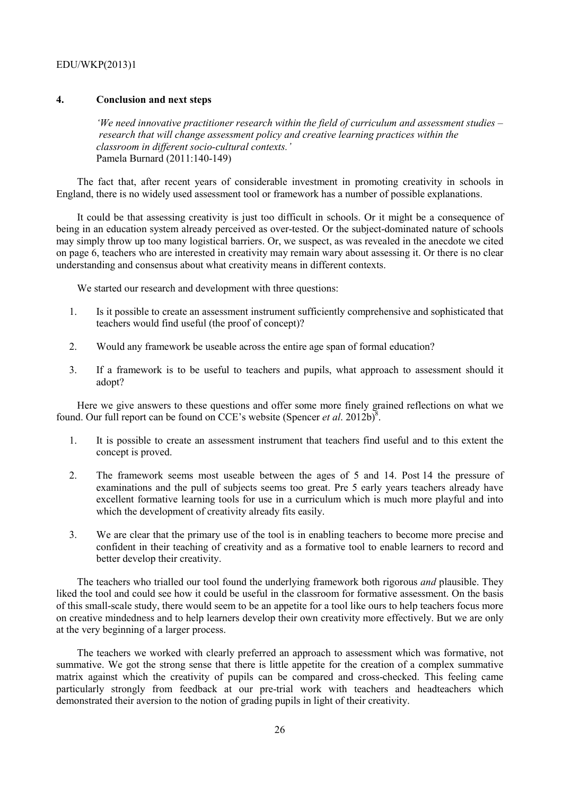# **4. Conclusion and next steps**

*'We need innovative practitioner research within the field of curriculum and assessment studies – research that will change assessment policy and creative learning practices within the classroom in different socio-cultural contexts.'*  Pamela Burnard (2011:140-149)

The fact that, after recent years of considerable investment in promoting creativity in schools in England, there is no widely used assessment tool or framework has a number of possible explanations.

It could be that assessing creativity is just too difficult in schools. Or it might be a consequence of being in an education system already perceived as over-tested. Or the subject-dominated nature of schools may simply throw up too many logistical barriers. Or, we suspect, as was revealed in the anecdote we cited on page 6, teachers who are interested in creativity may remain wary about assessing it. Or there is no clear understanding and consensus about what creativity means in different contexts.

We started our research and development with three questions:

- 1. Is it possible to create an assessment instrument sufficiently comprehensive and sophisticated that teachers would find useful (the proof of concept)?
- 2. Would any framework be useable across the entire age span of formal education?
- 3. If a framework is to be useful to teachers and pupils, what approach to assessment should it adopt?

Here we give answers to these questions and offer some more finely grained reflections on what we found. Our full report can be found on CCE's website (Spencer *et al.* 2012b)<sup>8</sup>.

- 1. It is possible to create an assessment instrument that teachers find useful and to this extent the concept is proved.
- 2. The framework seems most useable between the ages of 5 and 14. Post 14 the pressure of examinations and the pull of subjects seems too great. Pre 5 early years teachers already have excellent formative learning tools for use in a curriculum which is much more playful and into which the development of creativity already fits easily.
- 3. We are clear that the primary use of the tool is in enabling teachers to become more precise and confident in their teaching of creativity and as a formative tool to enable learners to record and better develop their creativity.

The teachers who trialled our tool found the underlying framework both rigorous *and* plausible. They liked the tool and could see how it could be useful in the classroom for formative assessment. On the basis of this small-scale study, there would seem to be an appetite for a tool like ours to help teachers focus more on creative mindedness and to help learners develop their own creativity more effectively. But we are only at the very beginning of a larger process.

The teachers we worked with clearly preferred an approach to assessment which was formative, not summative. We got the strong sense that there is little appetite for the creation of a complex summative matrix against which the creativity of pupils can be compared and cross-checked. This feeling came particularly strongly from feedback at our pre-trial work with teachers and headteachers which demonstrated their aversion to the notion of grading pupils in light of their creativity.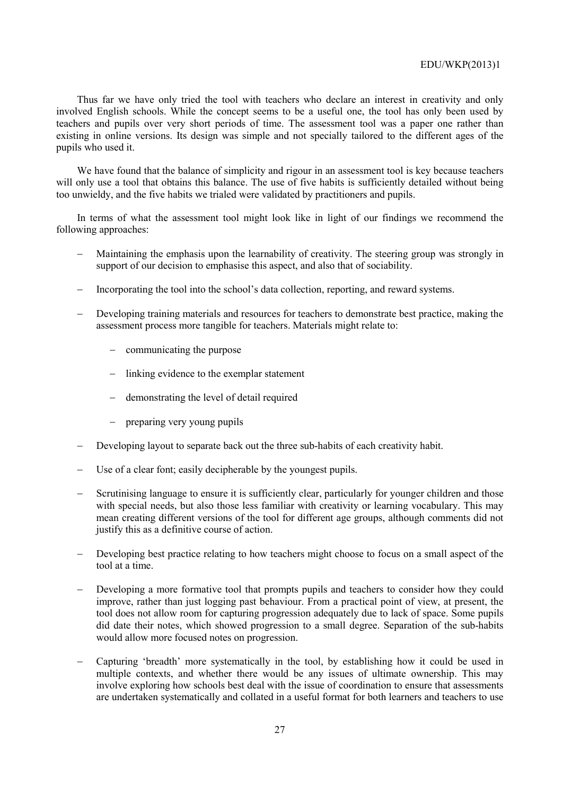Thus far we have only tried the tool with teachers who declare an interest in creativity and only involved English schools. While the concept seems to be a useful one, the tool has only been used by teachers and pupils over very short periods of time. The assessment tool was a paper one rather than existing in online versions. Its design was simple and not specially tailored to the different ages of the pupils who used it.

We have found that the balance of simplicity and rigour in an assessment tool is key because teachers will only use a tool that obtains this balance. The use of five habits is sufficiently detailed without being too unwieldy, and the five habits we trialed were validated by practitioners and pupils.

In terms of what the assessment tool might look like in light of our findings we recommend the following approaches:

- Maintaining the emphasis upon the learnability of creativity. The steering group was strongly in support of our decision to emphasise this aspect, and also that of sociability.
- Incorporating the tool into the school's data collection, reporting, and reward systems.
- Developing training materials and resources for teachers to demonstrate best practice, making the assessment process more tangible for teachers. Materials might relate to:
	- − communicating the purpose
	- − linking evidence to the exemplar statement
	- − demonstrating the level of detail required
	- preparing very young pupils
- Developing layout to separate back out the three sub-habits of each creativity habit.
- Use of a clear font; easily decipherable by the youngest pupils.
- Scrutinising language to ensure it is sufficiently clear, particularly for younger children and those with special needs, but also those less familiar with creativity or learning vocabulary. This may mean creating different versions of the tool for different age groups, although comments did not justify this as a definitive course of action.
- Developing best practice relating to how teachers might choose to focus on a small aspect of the tool at a time.
- Developing a more formative tool that prompts pupils and teachers to consider how they could improve, rather than just logging past behaviour. From a practical point of view, at present, the tool does not allow room for capturing progression adequately due to lack of space. Some pupils did date their notes, which showed progression to a small degree. Separation of the sub-habits would allow more focused notes on progression.
- − Capturing 'breadth' more systematically in the tool, by establishing how it could be used in multiple contexts, and whether there would be any issues of ultimate ownership. This may involve exploring how schools best deal with the issue of coordination to ensure that assessments are undertaken systematically and collated in a useful format for both learners and teachers to use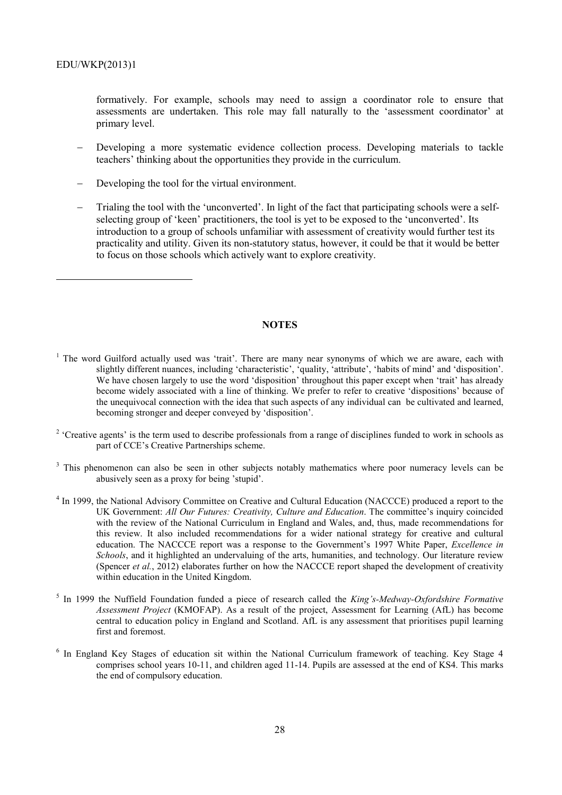$\overline{a}$ 

formatively. For example, schools may need to assign a coordinator role to ensure that assessments are undertaken. This role may fall naturally to the 'assessment coordinator' at primary level.

- Developing a more systematic evidence collection process. Developing materials to tackle teachers' thinking about the opportunities they provide in the curriculum.
- Developing the tool for the virtual environment.
- − Trialing the tool with the 'unconverted'. In light of the fact that participating schools were a selfselecting group of 'keen' practitioners, the tool is yet to be exposed to the 'unconverted'. Its introduction to a group of schools unfamiliar with assessment of creativity would further test its practicality and utility. Given its non-statutory status, however, it could be that it would be better to focus on those schools which actively want to explore creativity.

#### **NOTES**

- <sup>1</sup> The word Guilford actually used was 'trait'. There are many near synonyms of which we are aware, each with slightly different nuances, including 'characteristic', 'quality, 'attribute', 'habits of mind' and 'disposition'. We have chosen largely to use the word 'disposition' throughout this paper except when 'trait' has already become widely associated with a line of thinking. We prefer to refer to creative 'dispositions' because of the unequivocal connection with the idea that such aspects of any individual can be cultivated and learned, becoming stronger and deeper conveyed by 'disposition'.
- $2$  'Creative agents' is the term used to describe professionals from a range of disciplines funded to work in schools as part of CCE's Creative Partnerships scheme.
- <sup>3</sup> This phenomenon can also be seen in other subjects notably mathematics where poor numeracy levels can be abusively seen as a proxy for being 'stupid'.
- <sup>4</sup> In 1999, the National Advisory Committee on Creative and Cultural Education (NACCCE) produced a report to the UK Government: *All Our Futures: Creativity, Culture and Education*. The committee's inquiry coincided with the review of the National Curriculum in England and Wales, and, thus, made recommendations for this review. It also included recommendations for a wider national strategy for creative and cultural education. The NACCCE report was a response to the Government's 1997 White Paper, *Excellence in Schools*, and it highlighted an undervaluing of the arts, humanities, and technology. Our literature review (Spencer *et al.*, 2012) elaborates further on how the NACCCE report shaped the development of creativity within education in the United Kingdom.
- 5 In 1999 the Nuffield Foundation funded a piece of research called the *King's-Medway-Oxfordshire Formative Assessment Project* (KMOFAP). As a result of the project, Assessment for Learning (AfL) has become central to education policy in England and Scotland. AfL is any assessment that prioritises pupil learning first and foremost.
- <sup>6</sup> In England Key Stages of education sit within the National Curriculum framework of teaching. Key Stage 4 comprises school years 10-11, and children aged 11-14. Pupils are assessed at the end of KS4. This marks the end of compulsory education.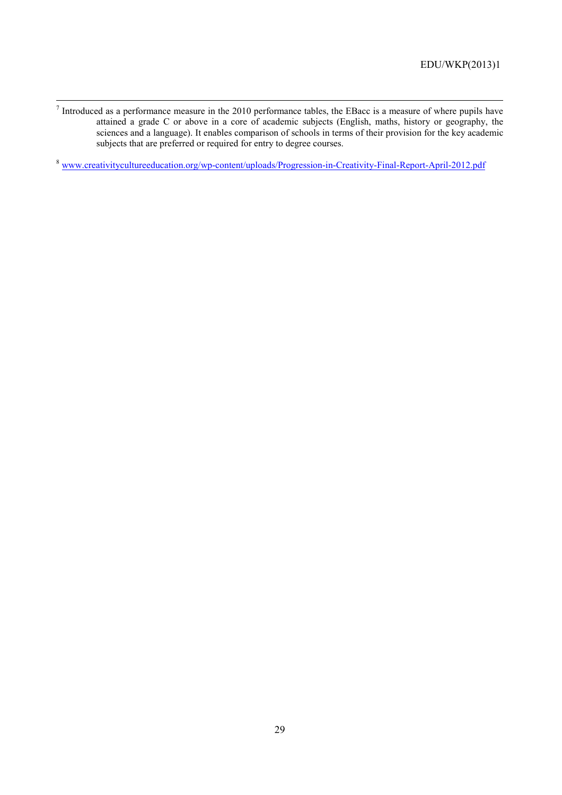-<br>7  $\frac{7}{1}$  Introduced as a performance measure in the 2010 performance tables, the EBacc is a measure of where pupils have attained a grade C or above in a core of academic subjects (English, maths, history or geography, the sciences and a language). It enables comparison of schools in terms of their provision for the key academic subjects that are preferred or required for entry to degree courses.

<sup>8</sup> www.creativitycultureeducation.org/wp-content/uploads/Progression-in-Creativity-Final-Report-April-2012.pdf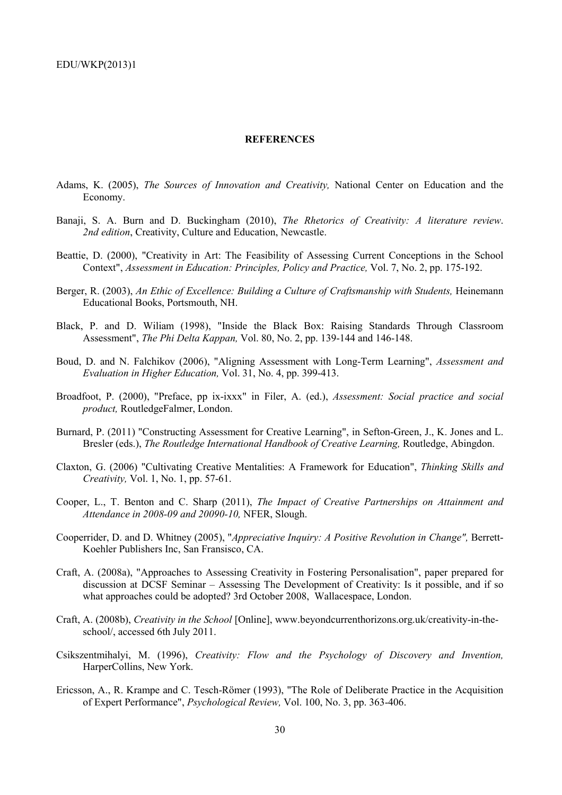#### **REFERENCES**

- Adams, K. (2005), *The Sources of Innovation and Creativity,* National Center on Education and the Economy.
- Banaji, S. A. Burn and D. Buckingham (2010), *The Rhetorics of Creativity: A literature review*. *2nd edition*, Creativity, Culture and Education, Newcastle.
- Beattie, D. (2000), "Creativity in Art: The Feasibility of Assessing Current Conceptions in the School Context", *Assessment in Education: Principles, Policy and Practice,* Vol. 7, No. 2, pp. 175-192.
- Berger, R. (2003), *An Ethic of Excellence: Building a Culture of Craftsmanship with Students*, Heinemann Educational Books, Portsmouth, NH.
- Black, P. and D. Wiliam (1998), "Inside the Black Box: Raising Standards Through Classroom Assessment", *The Phi Delta Kappan,* Vol. 80, No. 2, pp. 139-144 and 146-148.
- Boud, D. and N. Falchikov (2006), "Aligning Assessment with Long-Term Learning", *Assessment and Evaluation in Higher Education,* Vol. 31, No. 4, pp. 399-413.
- Broadfoot, P. (2000), "Preface, pp ix-ixxx" in Filer, A. (ed.), *Assessment: Social practice and social product,* RoutledgeFalmer, London.
- Burnard, P. (2011) "Constructing Assessment for Creative Learning", in Sefton-Green, J., K. Jones and L. Bresler (eds.), *The Routledge International Handbook of Creative Learning,* Routledge, Abingdon.
- Claxton, G. (2006) "Cultivating Creative Mentalities: A Framework for Education", *Thinking Skills and Creativity,* Vol. 1, No. 1, pp. 57-61.
- Cooper, L., T. Benton and C. Sharp (2011), *The Impact of Creative Partnerships on Attainment and Attendance in 2008-09 and 20090-10,* NFER, Slough.
- Cooperrider, D. and D. Whitney (2005), "*Appreciative Inquiry: A Positive Revolution in Change"*, Berrett-Koehler Publishers Inc, San Fransisco, CA.
- Craft, A. (2008a), "Approaches to Assessing Creativity in Fostering Personalisation", paper prepared for discussion at DCSF Seminar – Assessing The Development of Creativity: Is it possible, and if so what approaches could be adopted? 3rd October 2008, Wallacespace, London.
- Craft, A. (2008b), *Creativity in the School* [Online], www.beyondcurrenthorizons.org.uk/creativity-in-theschool/, accessed 6th July 2011.
- Csikszentmihalyi, M. (1996), *Creativity: Flow and the Psychology of Discovery and Invention,*  HarperCollins, New York.
- Ericsson, A., R. Krampe and C. Tesch-Römer (1993), "The Role of Deliberate Practice in the Acquisition of Expert Performance", *Psychological Review,* Vol. 100, No. 3, pp. 363-406.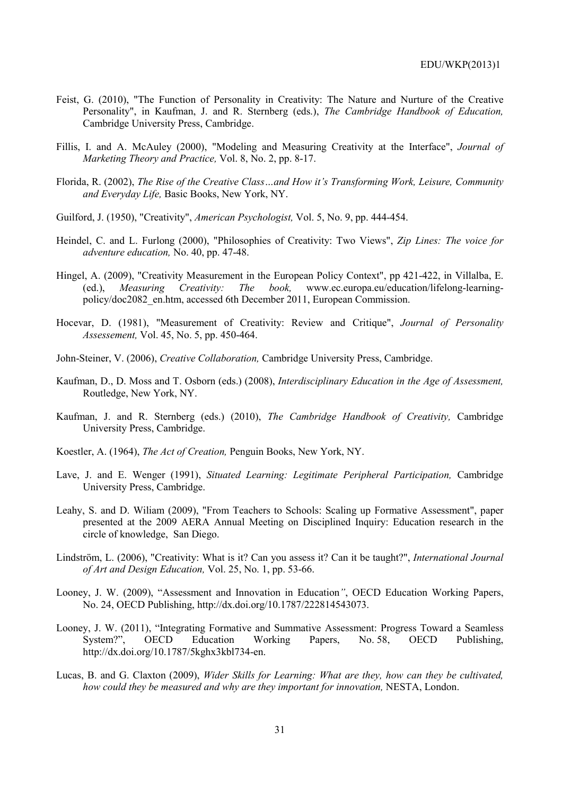- Feist, G. (2010), "The Function of Personality in Creativity: The Nature and Nurture of the Creative Personality", in Kaufman, J. and R. Sternberg (eds.), *The Cambridge Handbook of Education,* Cambridge University Press, Cambridge.
- Fillis, I. and A. McAuley (2000), "Modeling and Measuring Creativity at the Interface", *Journal of Marketing Theory and Practice,* Vol. 8, No. 2, pp. 8-17.
- Florida, R. (2002), *The Rise of the Creative Class…and How it's Transforming Work, Leisure, Community and Everyday Life,* Basic Books, New York, NY.
- Guilford, J. (1950), "Creativity", *American Psychologist,* Vol. 5, No. 9, pp. 444-454.
- Heindel, C. and L. Furlong (2000), "Philosophies of Creativity: Two Views", *Zip Lines: The voice for adventure education,* No. 40, pp. 47-48.
- Hingel, A. (2009), "Creativity Measurement in the European Policy Context", pp 421-422, in Villalba, E. (ed.), *Measuring Creativity: The book,* www.ec.europa.eu/education/lifelong-learningpolicy/doc2082\_en.htm, accessed 6th December 2011, European Commission.
- Hocevar, D. (1981), "Measurement of Creativity: Review and Critique", *Journal of Personality Assessement,* Vol. 45, No. 5, pp. 450-464.
- John-Steiner, V. (2006), *Creative Collaboration,* Cambridge University Press, Cambridge.
- Kaufman, D., D. Moss and T. Osborn (eds.) (2008), *Interdisciplinary Education in the Age of Assessment,*  Routledge, New York, NY.
- Kaufman, J. and R. Sternberg (eds.) (2010), *The Cambridge Handbook of Creativity,* Cambridge University Press, Cambridge.
- Koestler, A. (1964), *The Act of Creation,* Penguin Books, New York, NY.
- Lave, J. and E. Wenger (1991), *Situated Learning: Legitimate Peripheral Participation,* Cambridge University Press, Cambridge.
- Leahy, S. and D. Wiliam (2009), "From Teachers to Schools: Scaling up Formative Assessment", paper presented at the 2009 AERA Annual Meeting on Disciplined Inquiry: Education research in the circle of knowledge, San Diego.
- Lindström, L. (2006), "Creativity: What is it? Can you assess it? Can it be taught?", *International Journal of Art and Design Education,* Vol. 25, No. 1, pp. 53-66.
- Looney, J. W. (2009), "Assessment and Innovation in Education*"*, OECD Education Working Papers, No. 24, OECD Publishing, http://dx.doi.org/10.1787/222814543073.
- Looney, J. W. (2011), "Integrating Formative and Summative Assessment: Progress Toward a Seamless System?", OECD Education Working Papers, No. 58, OECD Publishing, http://dx.doi.org/10.1787/5kghx3kbl734-en.
- Lucas, B. and G. Claxton (2009), *Wider Skills for Learning: What are they, how can they be cultivated, how could they be measured and why are they important for innovation, NESTA, London.*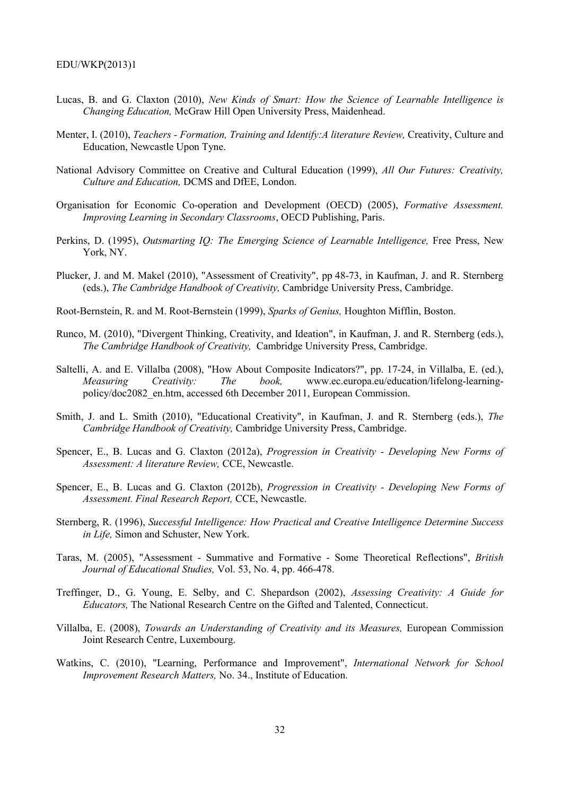- Lucas, B. and G. Claxton (2010), *New Kinds of Smart: How the Science of Learnable Intelligence is Changing Education,* McGraw Hill Open University Press, Maidenhead.
- Menter, I. (2010), *Teachers Formation, Training and Identify: A literature Review, Creativity, Culture and* Education, Newcastle Upon Tyne.
- National Advisory Committee on Creative and Cultural Education (1999), *All Our Futures: Creativity, Culture and Education,* DCMS and DfEE, London.
- Organisation for Economic Co-operation and Development (OECD) (2005), *Formative Assessment. Improving Learning in Secondary Classrooms*, OECD Publishing, Paris.
- Perkins, D. (1995), *Outsmarting IQ: The Emerging Science of Learnable Intelligence,* Free Press, New York, NY.
- Plucker, J. and M. Makel (2010), "Assessment of Creativity", pp 48-73, in Kaufman, J. and R. Sternberg (eds.), *The Cambridge Handbook of Creativity,* Cambridge University Press, Cambridge.
- Root-Bernstein, R. and M. Root-Bernstein (1999), *Sparks of Genius,* Houghton Mifflin, Boston.
- Runco, M. (2010), "Divergent Thinking, Creativity, and Ideation", in Kaufman, J. and R. Sternberg (eds.), *The Cambridge Handbook of Creativity,* Cambridge University Press, Cambridge.
- Saltelli, A. and E. Villalba (2008), "How About Composite Indicators?", pp. 17-24, in Villalba, E. (ed.), *Measuring Creativity: The book,* www.ec.europa.eu/education/lifelong-learningpolicy/doc2082\_en.htm, accessed 6th December 2011, European Commission.
- Smith, J. and L. Smith (2010), "Educational Creativity", in Kaufman, J. and R. Sternberg (eds.), *The Cambridge Handbook of Creativity,* Cambridge University Press, Cambridge.
- Spencer, E., B. Lucas and G. Claxton (2012a), *Progression in Creativity Developing New Forms of Assessment: A literature Review,* CCE, Newcastle.
- Spencer, E., B. Lucas and G. Claxton (2012b), *Progression in Creativity Developing New Forms of Assessment. Final Research Report,* CCE, Newcastle.
- Sternberg, R. (1996), *Successful Intelligence: How Practical and Creative Intelligence Determine Success in Life,* Simon and Schuster, New York.
- Taras, M. (2005), "Assessment Summative and Formative Some Theoretical Reflections", *British Journal of Educational Studies,* Vol. 53, No. 4, pp. 466-478.
- Treffinger, D., G. Young, E. Selby, and C. Shepardson (2002), *Assessing Creativity: A Guide for Educators,* The National Research Centre on the Gifted and Talented, Connecticut.
- Villalba, E. (2008), *Towards an Understanding of Creativity and its Measures,* European Commission Joint Research Centre, Luxembourg.
- Watkins, C. (2010), "Learning, Performance and Improvement", *International Network for School Improvement Research Matters,* No. 34., Institute of Education.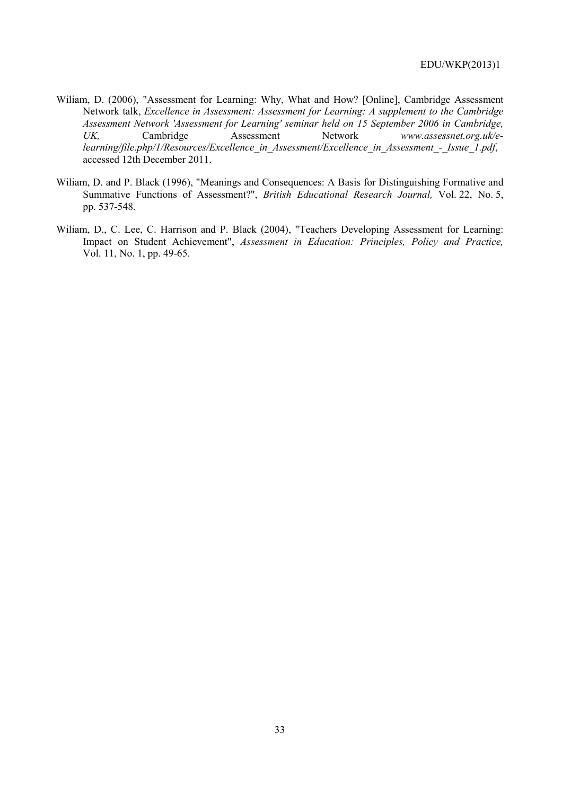- Wiliam, D. (2006), "Assessment for Learning: Why, What and How? [Online], Cambridge Assessment Network talk, *Excellence in Assessment: Assessment for Learning: A supplement to the Cambridge Assessment Network 'Assessment for Learning' seminar held on 15 September 2006 in Cambridge,*  UK, Cambridge Assessment Network *www.assessnet.org.uk/elearning/file.php/1/Resources/Excellence\_in\_Assessment/Excellence\_in\_Assessment\_-\_Issue\_1.pdf*, accessed 12th December 2011.
- Wiliam, D. and P. Black (1996), "Meanings and Consequences: A Basis for Distinguishing Formative and Summative Functions of Assessment?", *British Educational Research Journal,* Vol. 22, No. 5, pp. 537-548.
- Wiliam, D., C. Lee, C. Harrison and P. Black (2004), "Teachers Developing Assessment for Learning: Impact on Student Achievement", *Assessment in Education: Principles, Policy and Practice,* Vol. 11, No. 1, pp. 49-65.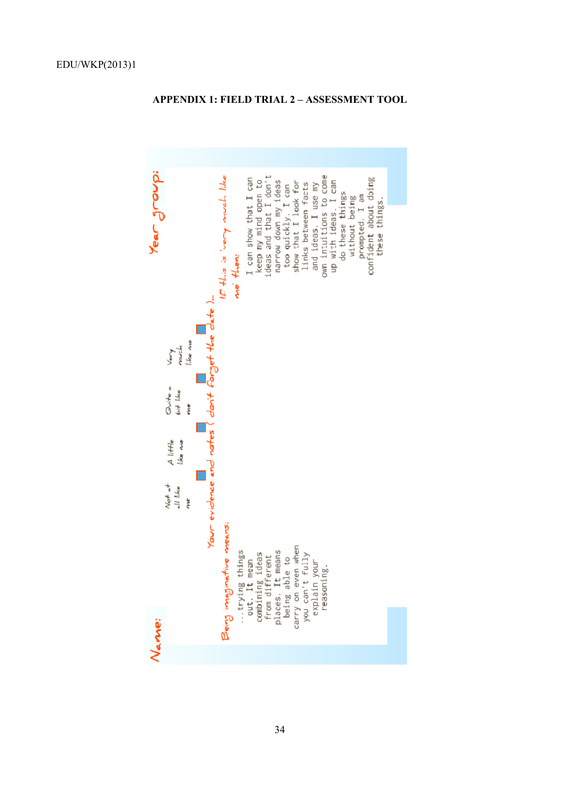

# **APPENDIX 1: F IELD TRIAL 2 – ASSESSMENT TOOL**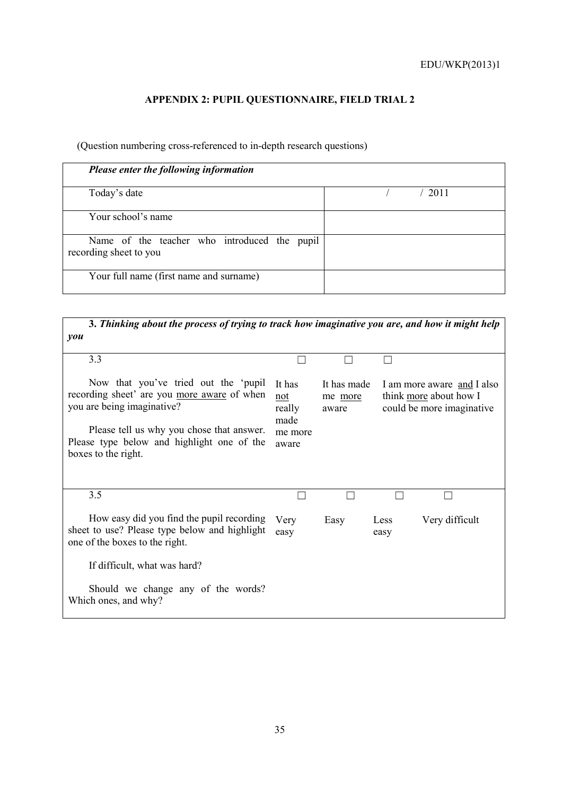# **APPENDIX 2: PUPIL QUESTIONNAIRE, FIELD TRIAL 2**

(Question numbering cross-referenced to in-depth research questions)

| Please enter the following information                                 |      |
|------------------------------------------------------------------------|------|
| Today's date                                                           | 2011 |
| Your school's name                                                     |      |
| Name of the teacher who introduced the pupil<br>recording sheet to you |      |
| Your full name (first name and surname)                                |      |

| 3. Thinking about the process of trying to track how imaginative you are, and how it might help                                                                                                                                     |                                                     |                                 |              |                                                                                    |  |
|-------------------------------------------------------------------------------------------------------------------------------------------------------------------------------------------------------------------------------------|-----------------------------------------------------|---------------------------------|--------------|------------------------------------------------------------------------------------|--|
| you                                                                                                                                                                                                                                 |                                                     |                                 |              |                                                                                    |  |
| 3.3                                                                                                                                                                                                                                 |                                                     |                                 |              |                                                                                    |  |
| Now that you've tried out the 'pupil<br>recording sheet' are you more aware of when<br>you are being imaginative?<br>Please tell us why you chose that answer.<br>Please type below and highlight one of the<br>boxes to the right. | It has<br>not<br>really<br>made<br>me more<br>aware | It has made<br>me more<br>aware |              | I am more aware and I also<br>think more about how I<br>could be more imaginative. |  |
| 3.5                                                                                                                                                                                                                                 |                                                     |                                 |              |                                                                                    |  |
| How easy did you find the pupil recording<br>sheet to use? Please type below and highlight<br>one of the boxes to the right.                                                                                                        | Very<br>easy                                        | Easy                            | Less<br>easy | Very difficult                                                                     |  |
| If difficult, what was hard?                                                                                                                                                                                                        |                                                     |                                 |              |                                                                                    |  |
| Should we change any of the words?<br>Which ones, and why?                                                                                                                                                                          |                                                     |                                 |              |                                                                                    |  |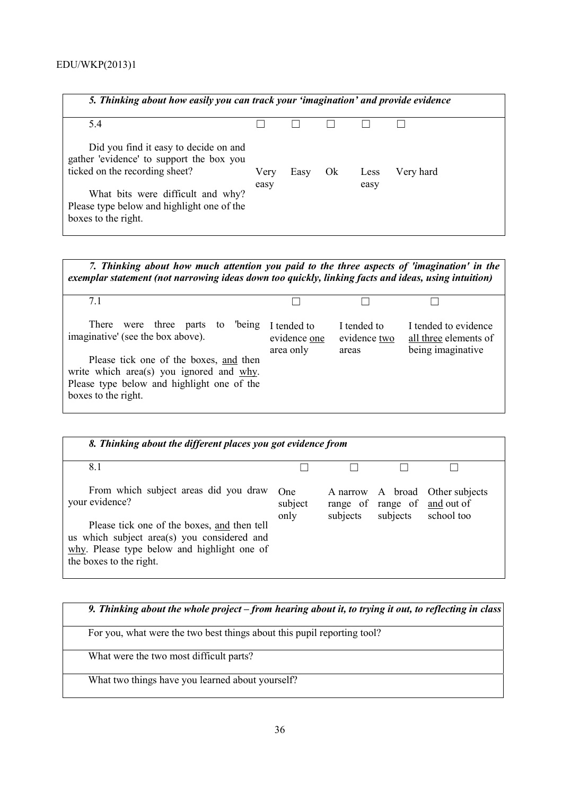| 5. Thinking about how easily you can track your 'imagination' and provide evidence                                  |      |      |     |      |           |
|---------------------------------------------------------------------------------------------------------------------|------|------|-----|------|-----------|
| 5.4                                                                                                                 |      |      |     |      |           |
| Did you find it easy to decide on and<br>gather 'evidence' to support the box you<br>ticked on the recording sheet? | Very | Easy | Ok. | Less | Very hard |
| What bits were difficult and why?<br>Please type below and highlight one of the<br>boxes to the right.              | easy |      |     | easy |           |

| 7. Thinking about how much attention you paid to the three aspects of 'imagination' in the<br>exemplar statement (not narrowing ideas down too quickly, linking facts and ideas, using intuition)                                        |                                          |                                      |                                                                    |  |  |  |
|------------------------------------------------------------------------------------------------------------------------------------------------------------------------------------------------------------------------------------------|------------------------------------------|--------------------------------------|--------------------------------------------------------------------|--|--|--|
| 71                                                                                                                                                                                                                                       |                                          |                                      |                                                                    |  |  |  |
| were three parts to<br>being<br>There<br>imaginative' (see the box above).<br>Please tick one of the boxes, and then<br>write which area(s) you ignored and $why$ .<br>Please type below and highlight one of the<br>boxes to the right. | I tended to<br>evidence one<br>area only | I tended to<br>evidence two<br>areas | I tended to evidence<br>all three elements of<br>being imaginative |  |  |  |

| 8. Thinking about the different places you got evidence from                                                                                                                                                                    |                        |          |                                          |                                               |
|---------------------------------------------------------------------------------------------------------------------------------------------------------------------------------------------------------------------------------|------------------------|----------|------------------------------------------|-----------------------------------------------|
| 8.1                                                                                                                                                                                                                             |                        |          |                                          |                                               |
| From which subject areas did you draw<br>your evidence?<br>Please tick one of the boxes, and then tell<br>us which subject area(s) you considered and<br>why. Please type below and highlight one of<br>the boxes to the right. | One<br>subject<br>only | subjects | range of range of and out of<br>subjects | A narrow A broad Other subjects<br>school too |

*9. Thinking about the whole project – from hearing about it, to trying it out, to reflecting in class* For you, what were the two best things about this pupil reporting tool? What were the two most difficult parts? What two things have you learned about yourself?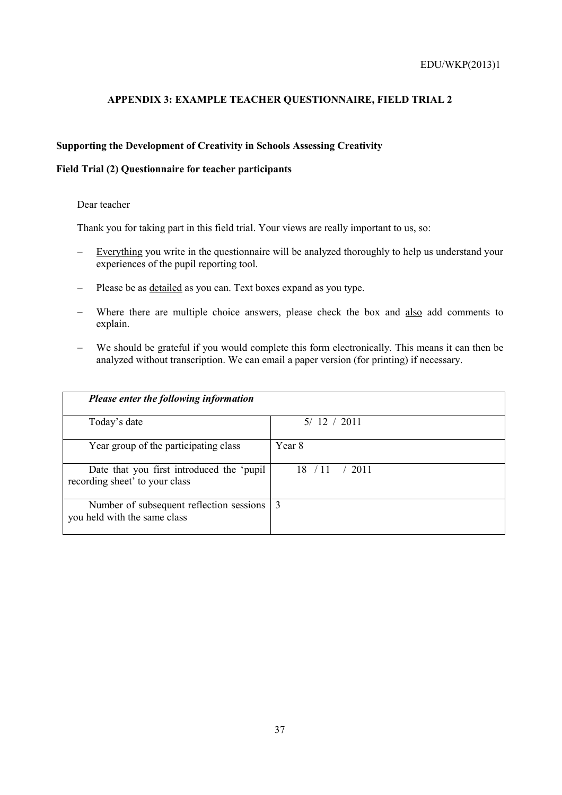# **APPENDIX 3: EXAMPLE TEACHER QUESTIONNAIRE, FIELD TRIAL 2**

# **Supporting the Development of Creativity in Schools Assessing Creativity**

# **Field Trial (2) Questionnaire for teacher participants**

### Dear teacher

Thank you for taking part in this field trial. Your views are really important to us, so:

- − Everything you write in the questionnaire will be analyzed thoroughly to help us understand your experiences of the pupil reporting tool.
- − Please be as detailed as you can. Text boxes expand as you type.
- − Where there are multiple choice answers, please check the box and also add comments to explain.
- − We should be grateful if you would complete this form electronically. This means it can then be analyzed without transcription. We can email a paper version (for printing) if necessary.

| Please enter the following information                                      |               |  |  |
|-----------------------------------------------------------------------------|---------------|--|--|
| Today's date                                                                | 5/12 / 2011   |  |  |
| Year group of the participating class                                       | Year 8        |  |  |
| Date that you first introduced the 'pupil<br>recording sheet' to your class | 2011<br>18/11 |  |  |
| Number of subsequent reflection sessions<br>you held with the same class    | 3             |  |  |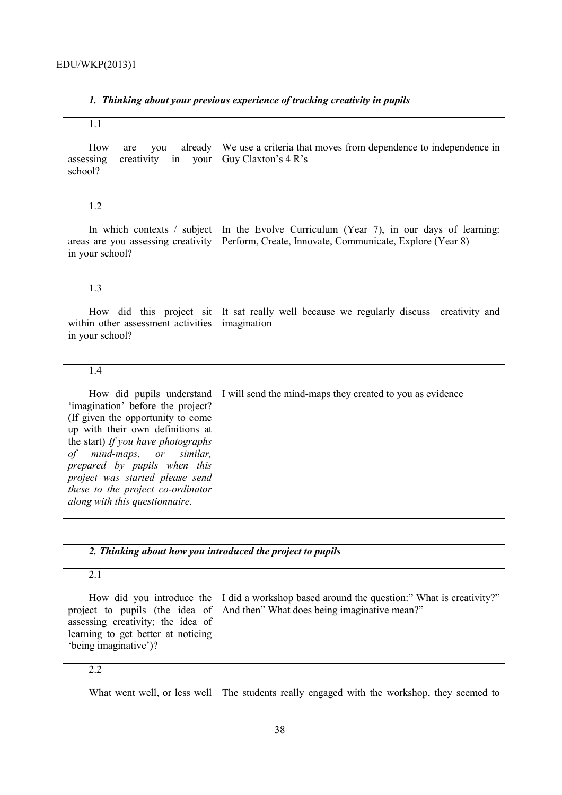| 1. Thinking about your previous experience of tracking creativity in pupils                                                                                                                                                                                                                                                                                       |                                                                                                                         |  |  |  |  |  |
|-------------------------------------------------------------------------------------------------------------------------------------------------------------------------------------------------------------------------------------------------------------------------------------------------------------------------------------------------------------------|-------------------------------------------------------------------------------------------------------------------------|--|--|--|--|--|
| 1.1<br>How<br>already<br>are<br>you<br>assessing<br>creativity<br>in<br>your<br>school?                                                                                                                                                                                                                                                                           | We use a criteria that moves from dependence to independence in<br>Guy Claxton's 4 R's                                  |  |  |  |  |  |
| 1.2<br>In which contexts / subject<br>areas are you assessing creativity<br>in your school?                                                                                                                                                                                                                                                                       | In the Evolve Curriculum (Year 7), in our days of learning:<br>Perform, Create, Innovate, Communicate, Explore (Year 8) |  |  |  |  |  |
| 1.3<br>How did this project sit<br>within other assessment activities<br>in your school?                                                                                                                                                                                                                                                                          | It sat really well because we regularly discuss creativity and<br>imagination                                           |  |  |  |  |  |
| 1.4<br>How did pupils understand<br>'imagination' before the project?<br>(If given the opportunity to come<br>up with their own definitions at<br>the start) If you have photographs<br>mind-maps, or<br>similar.<br>οf<br>prepared by pupils when this<br>project was started please send<br>these to the project co-ordinator<br>along with this questionnaire. | I will send the mind-maps they created to you as evidence                                                               |  |  |  |  |  |

| 2. Thinking about how you introduced the project to pupils                                                                                                            |                                                                                                                   |  |  |  |  |  |
|-----------------------------------------------------------------------------------------------------------------------------------------------------------------------|-------------------------------------------------------------------------------------------------------------------|--|--|--|--|--|
| 21<br>How did you introduce the<br>project to pupils (the idea of<br>assessing creativity; the idea of<br>learning to get better at noticing<br>'being imaginative')? | I did a workshop based around the question:" What is creativity?"<br>And then" What does being imaginative mean?" |  |  |  |  |  |
| 22                                                                                                                                                                    |                                                                                                                   |  |  |  |  |  |
| What went well, or less well                                                                                                                                          | The students really engaged with the workshop, they seemed to                                                     |  |  |  |  |  |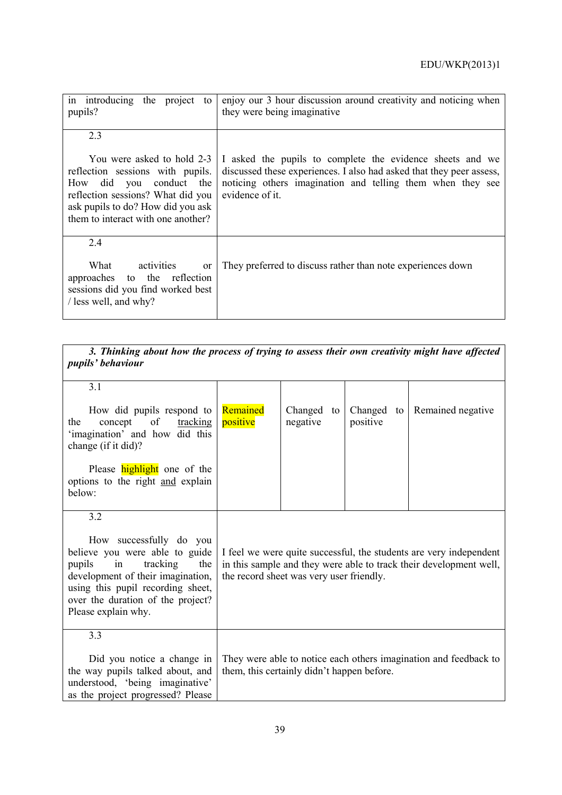| in introducing the project<br>to<br>pupils?                                                                                                                                                               | enjoy our 3 hour discussion around creativity and noticing when<br>they were being imaginative                                                                                                                     |
|-----------------------------------------------------------------------------------------------------------------------------------------------------------------------------------------------------------|--------------------------------------------------------------------------------------------------------------------------------------------------------------------------------------------------------------------|
| 2.3                                                                                                                                                                                                       |                                                                                                                                                                                                                    |
| You were asked to hold 2-3<br>reflection sessions with pupils.<br>How did you conduct the<br>reflection sessions? What did you<br>ask pupils to do? How did you ask<br>them to interact with one another? | I asked the pupils to complete the evidence sheets and we<br>discussed these experiences. I also had asked that they peer assess,<br>noticing others imagination and telling them when they see<br>evidence of it. |
| 2.4<br>What<br>activities<br>or<br>approaches to the reflection<br>sessions did you find worked best<br>/ less well, and why?                                                                             | They preferred to discuss rather than note experiences down                                                                                                                                                        |

.

| 3. Thinking about how the process of trying to assess their own creativity might have affected<br>pupils' behaviour                                                                                                                |                                                                                                                                                                                      |                        |                        |                   |  |  |  |
|------------------------------------------------------------------------------------------------------------------------------------------------------------------------------------------------------------------------------------|--------------------------------------------------------------------------------------------------------------------------------------------------------------------------------------|------------------------|------------------------|-------------------|--|--|--|
| 3.1                                                                                                                                                                                                                                |                                                                                                                                                                                      |                        |                        |                   |  |  |  |
| How did pupils respond to<br>concept<br>of<br><u>tracking</u><br>the<br>'imagination' and how did this<br>change (if it did)?                                                                                                      | Remained<br>positive                                                                                                                                                                 | Changed to<br>negative | Changed to<br>positive | Remained negative |  |  |  |
| Please <b>highlight</b> one of the<br>options to the right and explain<br>below:                                                                                                                                                   |                                                                                                                                                                                      |                        |                        |                   |  |  |  |
| 3.2                                                                                                                                                                                                                                |                                                                                                                                                                                      |                        |                        |                   |  |  |  |
| How successfully do you<br>believe you were able to guide<br>tracking<br>pupils<br>the<br>in<br>development of their imagination,<br>using this pupil recording sheet,<br>over the duration of the project?<br>Please explain why. | I feel we were quite successful, the students are very independent<br>in this sample and they were able to track their development well,<br>the record sheet was very user friendly. |                        |                        |                   |  |  |  |
| 3.3                                                                                                                                                                                                                                |                                                                                                                                                                                      |                        |                        |                   |  |  |  |
| Did you notice a change in<br>the way pupils talked about, and<br>understood, 'being imaginative'<br>as the project progressed? Please                                                                                             | They were able to notice each others imagination and feedback to<br>them, this certainly didn't happen before.                                                                       |                        |                        |                   |  |  |  |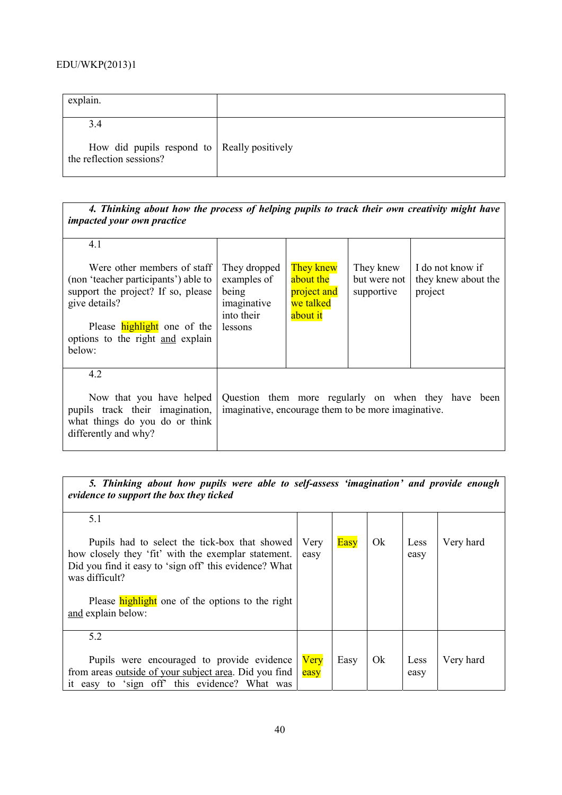| explain.                                                                       |  |
|--------------------------------------------------------------------------------|--|
| 3.4<br>How did pupils respond to Really positively<br>the reflection sessions? |  |

| 4. Thinking about how the process of helping pupils to track their own creativity might have<br>impacted your own practice                                                                                     |                                                                                                            |                                                                |                                         |                                                    |  |
|----------------------------------------------------------------------------------------------------------------------------------------------------------------------------------------------------------------|------------------------------------------------------------------------------------------------------------|----------------------------------------------------------------|-----------------------------------------|----------------------------------------------------|--|
| 4.1                                                                                                                                                                                                            |                                                                                                            |                                                                |                                         |                                                    |  |
| Were other members of staff<br>(non 'teacher participants') able to<br>support the project? If so, please<br>give details?<br>Please <b>highlight</b> one of the<br>options to the right and explain<br>below: | They dropped<br>examples of<br>being<br>imaginative<br>into their<br>lessons                               | They knew<br>about the<br>project and<br>we talked<br>about it | They knew<br>but were not<br>supportive | I do not know if<br>they knew about the<br>project |  |
| 4.2                                                                                                                                                                                                            |                                                                                                            |                                                                |                                         |                                                    |  |
| Now that you have helped<br>pupils track their imagination,<br>what things do you do or think<br>differently and why?                                                                                          | Question them more regularly on when they have been<br>imaginative, encourage them to be more imaginative. |                                                                |                                         |                                                    |  |

| 5. Thinking about how pupils were able to self-assess 'imagination' and provide enough<br>evidence to support the box they ticked                                                |                     |             |    |              |           |  |
|----------------------------------------------------------------------------------------------------------------------------------------------------------------------------------|---------------------|-------------|----|--------------|-----------|--|
| 5.1                                                                                                                                                                              |                     |             |    |              |           |  |
| Pupils had to select the tick-box that showed<br>how closely they 'fit' with the exemplar statement.<br>Did you find it easy to 'sign off' this evidence? What<br>was difficult? | Very<br>easy        | <b>Easy</b> | Ok | Less<br>easy | Very hard |  |
| Please <b>highlight</b> one of the options to the right<br>and explain below:                                                                                                    |                     |             |    |              |           |  |
| 5.2                                                                                                                                                                              |                     |             |    |              |           |  |
| Pupils were encouraged to provide evidence<br>from areas <u>outside</u> of your subject area. Did you find<br>it easy to 'sign off' this evidence? What was                      | <b>Very</b><br>easy | Easy        | Ok | Less<br>easy | Very hard |  |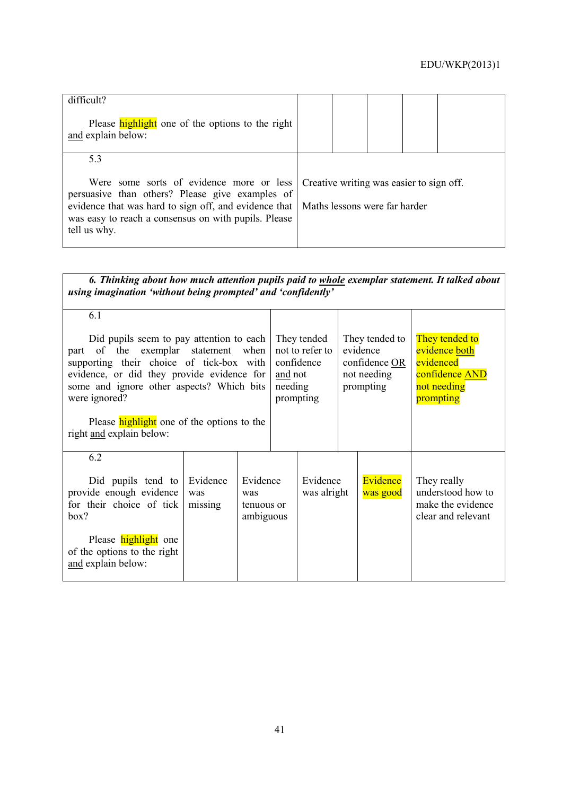| difficult?<br>Please <b>highlight</b> one of the options to the right<br>and explain below:                                                                                                                                  |  |                                                                           |  |
|------------------------------------------------------------------------------------------------------------------------------------------------------------------------------------------------------------------------------|--|---------------------------------------------------------------------------|--|
| 5.3                                                                                                                                                                                                                          |  |                                                                           |  |
| Were some sorts of evidence more or less<br>persuasive than others? Please give examples of<br>evidence that was hard to sign off, and evidence that<br>was easy to reach a consensus on with pupils. Please<br>tell us why. |  | Creative writing was easier to sign off.<br>Maths lessons were far harder |  |

| 6. Thinking about how much attention pupils paid to whole exemplar statement. It talked about<br>using imagination 'without being prompted' and 'confidently'                                                                                                                                                                            |                            |                                                                                 |  |                                                                         |  |                                                                                            |                                                                             |
|------------------------------------------------------------------------------------------------------------------------------------------------------------------------------------------------------------------------------------------------------------------------------------------------------------------------------------------|----------------------------|---------------------------------------------------------------------------------|--|-------------------------------------------------------------------------|--|--------------------------------------------------------------------------------------------|-----------------------------------------------------------------------------|
| 6.1<br>Did pupils seem to pay attention to each<br>of the exemplar<br>statement<br>when<br>part<br>supporting their choice of tick-box with<br>evidence, or did they provide evidence for<br>some and ignore other aspects? Which bits<br>were ignored?<br>Please <b>highlight</b> one of the options to the<br>right and explain below: |                            | They tended<br>not to refer to<br>confidence<br>and not<br>needing<br>prompting |  | They tended to<br>evidence<br>confidence OR<br>not needing<br>prompting |  | They tended to<br>evidence both<br>evidenced<br>confidence AND<br>not needing<br>prompting |                                                                             |
| 6.2<br>Did pupils tend to<br>provide enough evidence<br>for their choice of tick<br>box?<br>Please <b>highlight</b> one<br>of the options to the right<br>and explain below:                                                                                                                                                             | Evidence<br>was<br>missing | Evidence<br>was<br>tenuous or<br>ambiguous                                      |  | Evidence<br>was alright                                                 |  | Evidence<br>was good                                                                       | They really<br>understood how to<br>make the evidence<br>clear and relevant |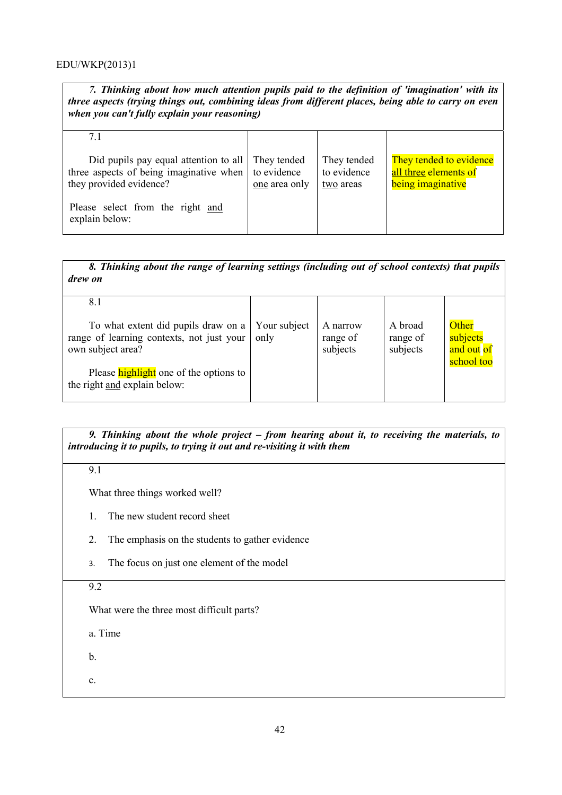*7. Thinking about how much attention pupils paid to the definition of 'imagination' with its three aspects (trying things out, combining ideas from different places, being able to carry on even when you can't fully explain your reasoning)*

| 71                                                                                                            |                                             |                                         |                                                                       |
|---------------------------------------------------------------------------------------------------------------|---------------------------------------------|-----------------------------------------|-----------------------------------------------------------------------|
| Did pupils pay equal attention to all  <br>three aspects of being imaginative when<br>they provided evidence? | They tended<br>to evidence<br>one area only | They tended<br>to evidence<br>two areas | They tended to evidence<br>all three elements of<br>being imaginative |
| Please select from the right and<br>explain below:                                                            |                                             |                                         |                                                                       |

*8. Thinking about the range of learning settings (including out of school contexts) that pupils drew on*

| 8.1                                                                                                   |                      |                                  |                                 |                                               |
|-------------------------------------------------------------------------------------------------------|----------------------|----------------------------------|---------------------------------|-----------------------------------------------|
| To what extent did pupils draw on a<br>range of learning contexts, not just your<br>own subject area? | Your subject<br>only | A narrow<br>range of<br>subjects | A broad<br>range of<br>subjects | Other<br>subjects<br>and out of<br>school too |
| Please <b>highlight</b> one of the options to<br>the right and explain below:                         |                      |                                  |                                 |                                               |

*9. Thinking about the whole project – from hearing about it, to receiving the materials, to introducing it to pupils, to trying it out and re-visiting it with them* 

9.1

What three things worked well?

- 1. The new student record sheet
- 2. The emphasis on the students to gather evidence
- 3. The focus on just one element of the model

9.2

What were the three most difficult parts?

a. Time

b.

c.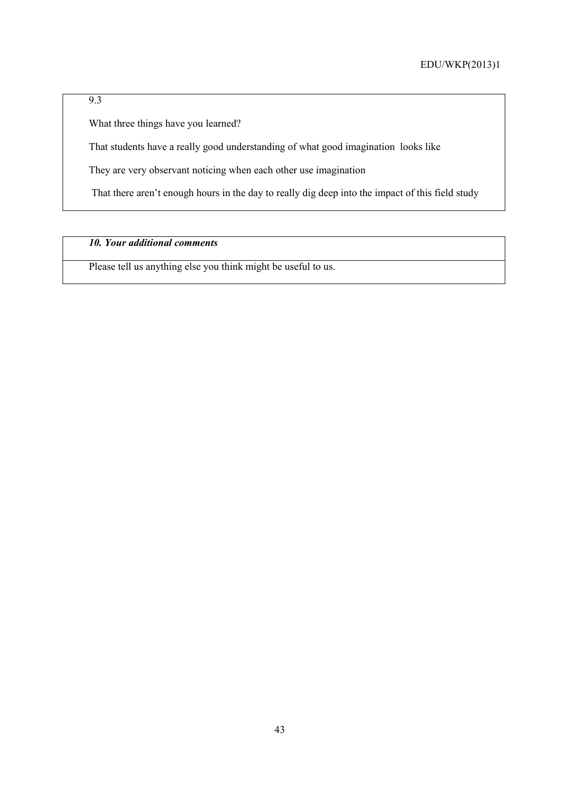# 9.3

What three things have you learned?

That students have a really good understanding of what good imagination looks like

They are very observant noticing when each other use imagination

That there aren't enough hours in the day to really dig deep into the impact of this field study

# *10. Your additional comments*

Please tell us anything else you think might be useful to us.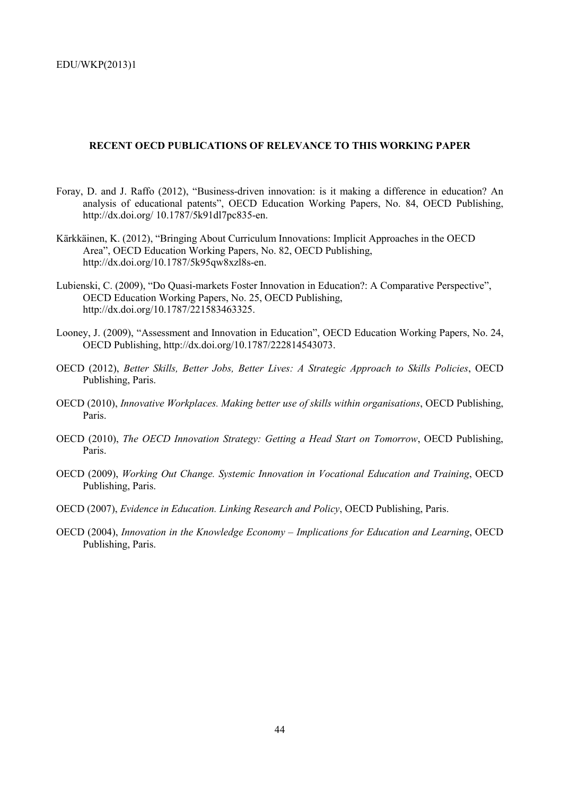### **RECENT OECD PUBLICATIONS OF RELEVANCE TO THIS WORKING PAPER**

- Foray, D. and J. Raffo (2012), "Business-driven innovation: is it making a difference in education? An analysis of educational patents", OECD Education Working Papers, No. 84, OECD Publishing, http://dx.doi.org/ 10.1787/5k91dl7pc835-en.
- Kärkkäinen, K. (2012), "Bringing About Curriculum Innovations: Implicit Approaches in the OECD Area", OECD Education Working Papers, No. 82, OECD Publishing, http://dx.doi.org/10.1787/5k95qw8xzl8s-en.
- Lubienski, C. (2009), "Do Quasi-markets Foster Innovation in Education?: A Comparative Perspective", OECD Education Working Papers, No. 25, OECD Publishing, http://dx.doi.org/10.1787/221583463325.
- Looney, J. (2009), "Assessment and Innovation in Education", OECD Education Working Papers, No. 24, OECD Publishing, http://dx.doi.org/10.1787/222814543073.
- OECD (2012), *Better Skills, Better Jobs, Better Lives: A Strategic Approach to Skills Policies*, OECD Publishing, Paris.
- OECD (2010), *Innovative Workplaces. Making better use of skills within organisations*, OECD Publishing, Paris.
- OECD (2010), *The OECD Innovation Strategy: Getting a Head Start on Tomorrow*, OECD Publishing, Paris.
- OECD (2009), *Working Out Change. Systemic Innovation in Vocational Education and Training*, OECD Publishing, Paris.
- OECD (2007), *Evidence in Education. Linking Research and Policy*, OECD Publishing, Paris.
- OECD (2004), *Innovation in the Knowledge Economy Implications for Education and Learning*, OECD Publishing, Paris.